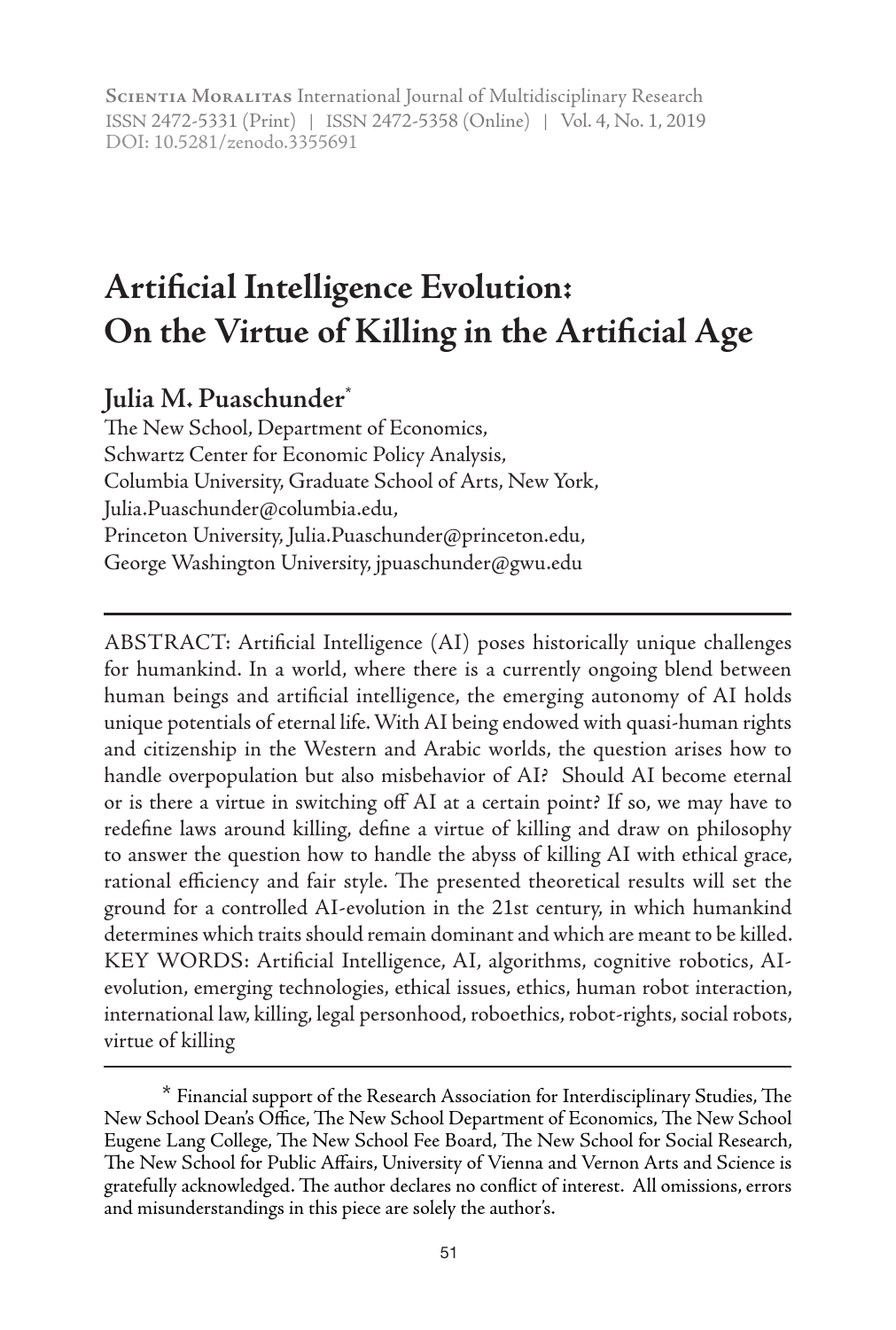**Scientia Moralitas** International Journal of Multidisciplinary Research ISSN 2472-5331 (Print) | ISSN 2472-5358 (Online) | Vol. 4, No. 1, 2019 DOI: 10.5281/zenodo.3355691

# **Artificial Intelligence Evolution: On the Virtue of Killing in the Artificial Age**

# **Julia M. Puaschunder\***

The New School, Department of Economics, Schwartz Center for Economic Policy Analysis, Columbia University, Graduate School of Arts, New York, Julia.Puaschunder@columbia.edu, Princeton University, Julia.Puaschunder@princeton.edu, George Washington University, jpuaschunder@gwu.edu

ABSTRACT: Artificial Intelligence (AI) poses historically unique challenges for humankind. In a world, where there is a currently ongoing blend between human beings and artificial intelligence, the emerging autonomy of AI holds unique potentials of eternal life. With AI being endowed with quasi-human rights and citizenship in the Western and Arabic worlds, the question arises how to handle overpopulation but also misbehavior of AI? Should AI become eternal or is there a virtue in switching off AI at a certain point? If so, we may have to redefine laws around killing, define a virtue of killing and draw on philosophy to answer the question how to handle the abyss of killing AI with ethical grace, rational efficiency and fair style. The presented theoretical results will set the ground for a controlled AI-evolution in the 21st century, in which humankind determines which traits should remain dominant and which are meant to be killed. KEY WORDS: Artificial Intelligence, AI, algorithms, cognitive robotics, AIevolution, emerging technologies, ethical issues, ethics, human robot interaction, international law, killing, legal personhood, roboethics, robot-rights, social robots, virtue of killing

<sup>\*</sup> Financial support of the Research Association for Interdisciplinary Studies, The New School Dean's Office, The New School Department of Economics, The New School Eugene Lang College, The New School Fee Board, The New School for Social Research, The New School for Public Affairs, University of Vienna and Vernon Arts and Science is gratefully acknowledged. The author declares no conflict of interest. All omissions, errors and misunderstandings in this piece are solely the author's.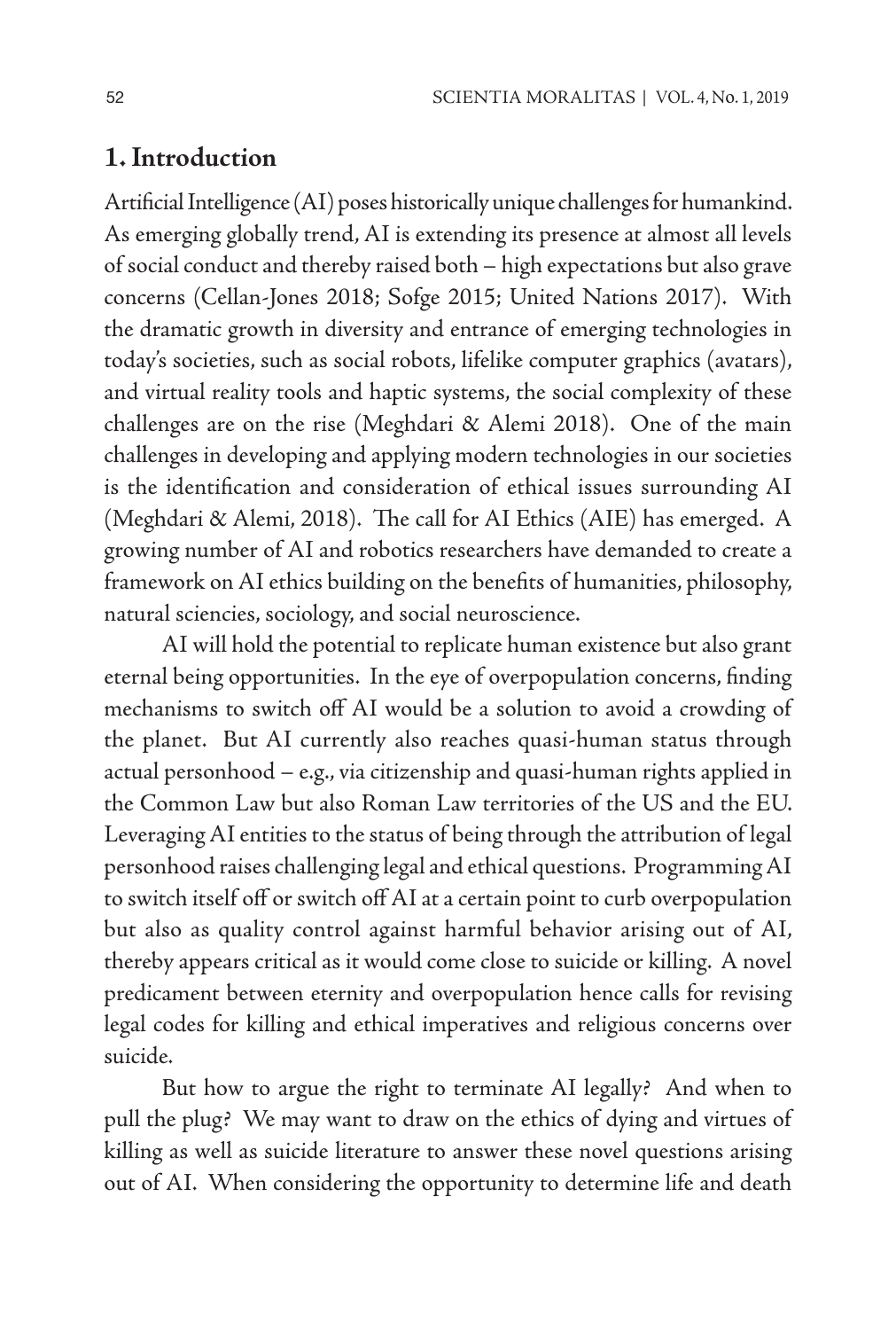## **1. Introduction**

Artificial Intelligence (AI) poses historically unique challenges for humankind. As emerging globally trend, AI is extending its presence at almost all levels of social conduct and thereby raised both – high expectations but also grave concerns (Cellan-Jones 2018; Sofge 2015; United Nations 2017). With the dramatic growth in diversity and entrance of emerging technologies in today's societies, such as social robots, lifelike computer graphics (avatars), and virtual reality tools and haptic systems, the social complexity of these challenges are on the rise (Meghdari & Alemi 2018). One of the main challenges in developing and applying modern technologies in our societies is the identification and consideration of ethical issues surrounding AI (Meghdari & Alemi, 2018). The call for AI Ethics (AIE) has emerged. A growing number of AI and robotics researchers have demanded to create a framework on AI ethics building on the benefits of humanities, philosophy, natural sciencies, sociology, and social neuroscience.

AI will hold the potential to replicate human existence but also grant eternal being opportunities. In the eye of overpopulation concerns, finding mechanisms to switch off AI would be a solution to avoid a crowding of the planet. But AI currently also reaches quasi-human status through actual personhood – e.g., via citizenship and quasi-human rights applied in the Common Law but also Roman Law territories of the US and the EU. Leveraging AI entities to the status of being through the attribution of legal personhood raises challenging legal and ethical questions. Programming AI to switch itself off or switch off AI at a certain point to curb overpopulation but also as quality control against harmful behavior arising out of AI, thereby appears critical as it would come close to suicide or killing. A novel predicament between eternity and overpopulation hence calls for revising legal codes for killing and ethical imperatives and religious concerns over suicide.

But how to argue the right to terminate AI legally? And when to pull the plug? We may want to draw on the ethics of dying and virtues of killing as well as suicide literature to answer these novel questions arising out of AI. When considering the opportunity to determine life and death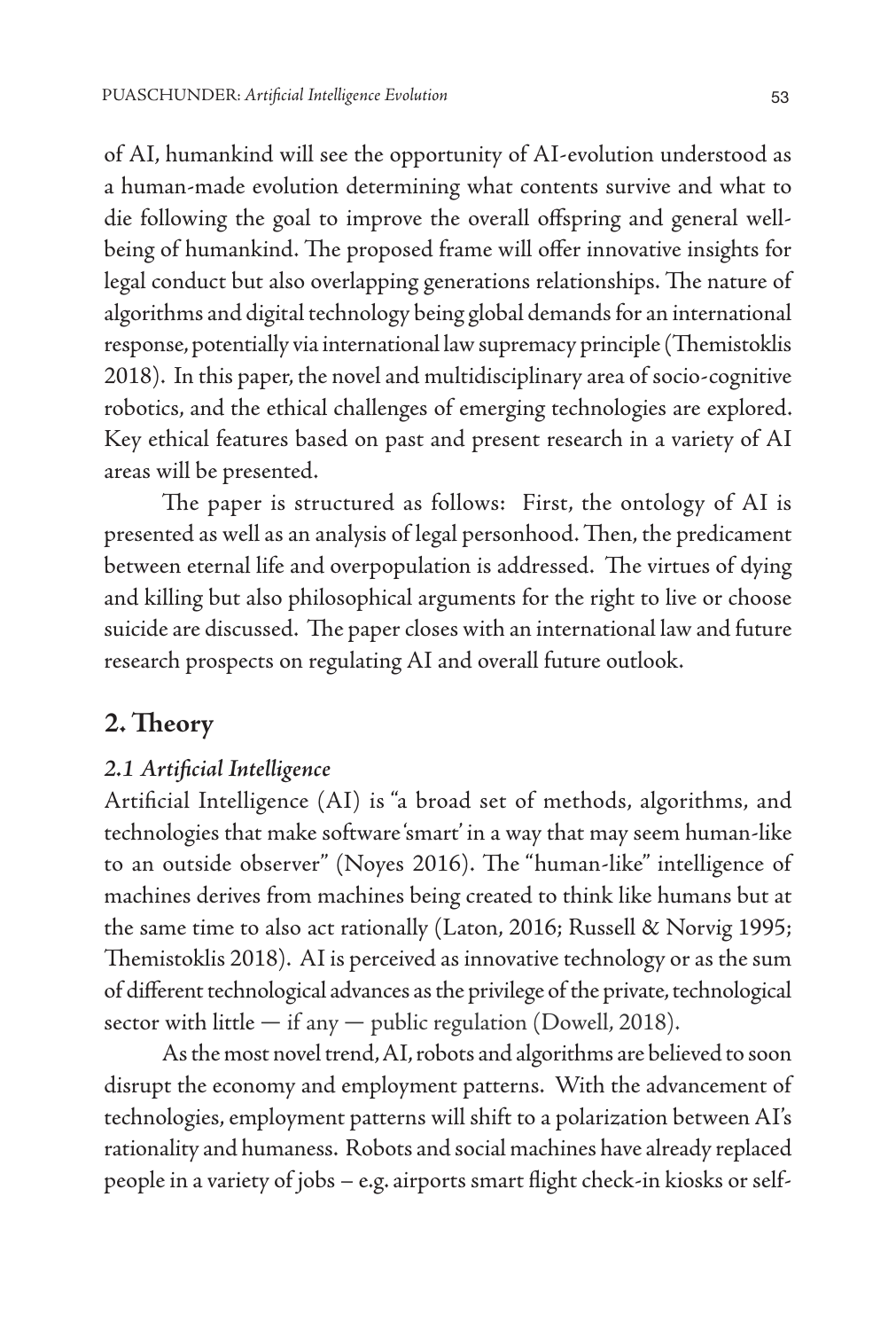of AI, humankind will see the opportunity of AI-evolution understood as a human-made evolution determining what contents survive and what to die following the goal to improve the overall offspring and general wellbeing of humankind. The proposed frame will offer innovative insights for legal conduct but also overlapping generations relationships. The nature of algorithms and digital technology being global demands for an international response, potentially via international law supremacy principle (Themistoklis 2018). In this paper, the novel and multidisciplinary area of socio-cognitive robotics, and the ethical challenges of emerging technologies are explored. Key ethical features based on past and present research in a variety of AI areas will be presented.

The paper is structured as follows: First, the ontology of AI is presented as well as an analysis of legal personhood. Then, the predicament between eternal life and overpopulation is addressed. The virtues of dying and killing but also philosophical arguments for the right to live or choose suicide are discussed. The paper closes with an international law and future research prospects on regulating AI and overall future outlook.

# **2. Theory**

#### *2.1 Artificial Intelligence*

Artificial Intelligence (AI) is "a broad set of methods, algorithms, and technologies that make software 'smart' in a way that may seem human-like to an outside observer" (Noyes 2016). The "human-like" intelligence of machines derives from machines being created to think like humans but at the same time to also act rationally (Laton, 2016; Russell & Norvig 1995; Themistoklis 2018). AI is perceived as innovative technology or as the sum of different technological advances as the privilege of the private, technological sector with little  $-$  if any  $-$  public regulation (Dowell, 2018).

As the most novel trend, AI, robots and algorithms are believed to soon disrupt the economy and employment patterns. With the advancement of technologies, employment patterns will shift to a polarization between AI's rationality and humaness. Robots and social machines have already replaced people in a variety of jobs – e.g. airports smart flight check-in kiosks or self-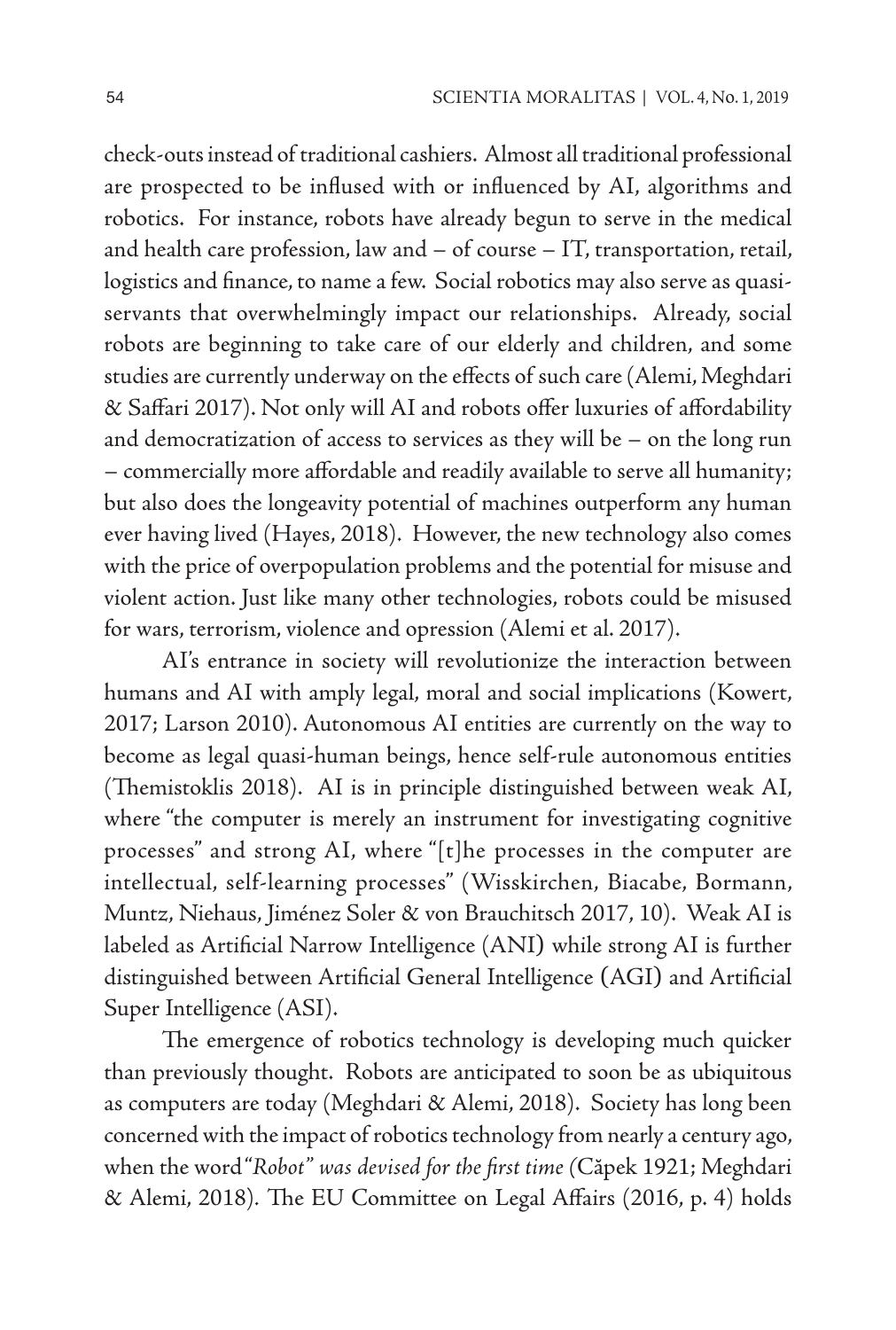check-outs instead of traditional cashiers. Almost all traditional professional are prospected to be inflused with or influenced by AI, algorithms and robotics. For instance, robots have already begun to serve in the medical and health care profession, law and – of course – IT, transportation, retail, logistics and finance, to name a few. Social robotics may also serve as quasiservants that overwhelmingly impact our relationships. Already, social robots are beginning to take care of our elderly and children, and some studies are currently underway on the effects of such care (Alemi, Meghdari & Saffari 2017). Not only will AI and robots offer luxuries of affordability and democratization of access to services as they will be – on the long run – commercially more affordable and readily available to serve all humanity; but also does the longeavity potential of machines outperform any human ever having lived (Hayes, 2018). However, the new technology also comes with the price of overpopulation problems and the potential for misuse and violent action. Just like many other technologies, robots could be misused for wars, terrorism, violence and opression (Alemi et al. 2017).

AI's entrance in society will revolutionize the interaction between humans and AI with amply legal, moral and social implications (Kowert, 2017; Larson 2010). Autonomous AI entities are currently on the way to become as legal quasi-human beings, hence self-rule autonomous entities (Themistoklis 2018). AI is in principle distinguished between weak AI, where "the computer is merely an instrument for investigating cognitive processes" and strong AI, where "[t]he processes in the computer are intellectual, self-learning processes" (Wisskirchen, Biacabe, Bormann, Muntz, Niehaus, Jiménez Soler & von Brauchitsch 2017, 10). Weak AI is labeled as Artificial Narrow Intelligence (ANI) while strong AI is further distinguished between Artificial General Intelligence (AGI) and Artificial Super Intelligence (ASI).

The emergence of robotics technology is developing much quicker than previously thought. Robots are anticipated to soon be as ubiquitous as computers are today (Meghdari & Alemi, 2018). Society has long been concerned with the impact of robotics technology from nearly a century ago, when the word "*Robot" was devised for the first time (*Căpek 1921; Meghdari & Alemi, 2018)*.* The EU Committee on Legal Affairs (2016, p. 4) holds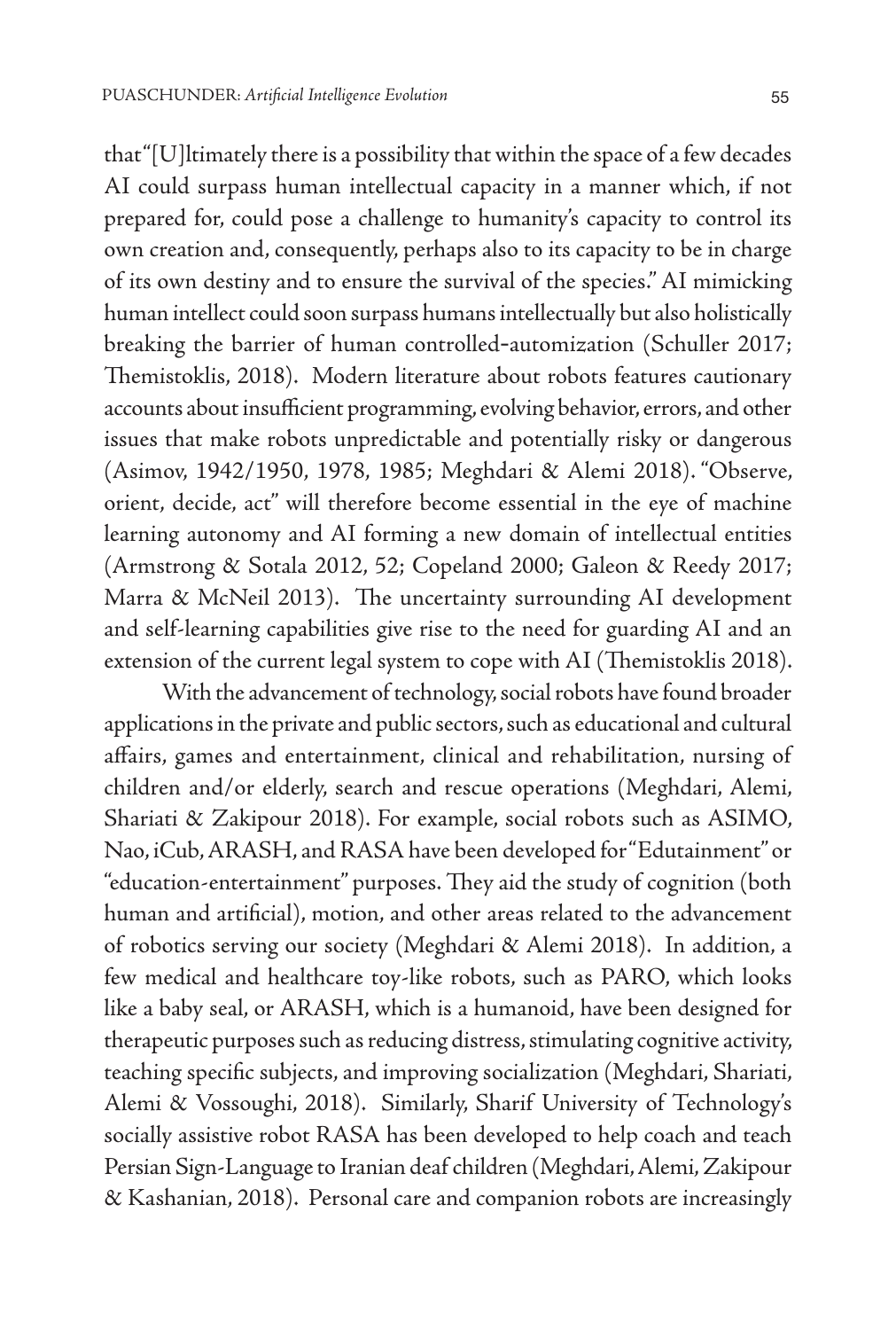that "[U]ltimately there is a possibility that within the space of a few decades AI could surpass human intellectual capacity in a manner which, if not prepared for, could pose a challenge to humanity's capacity to control its own creation and, consequently, perhaps also to its capacity to be in charge of its own destiny and to ensure the survival of the species." AI mimicking human intellect could soon surpass humans intellectually but also holistically breaking the barrier of human controlled-automization (Schuller 2017; Themistoklis, 2018). Modern literature about robots features cautionary accounts about insufficient programming, evolving behavior, errors, and other issues that make robots unpredictable and potentially risky or dangerous (Asimov, 1942/1950, 1978, 1985; Meghdari & Alemi 2018). "Observe, orient, decide, act" will therefore become essential in the eye of machine learning autonomy and AI forming a new domain of intellectual entities (Armstrong & Sotala 2012, 52; Copeland 2000; Galeon & Reedy 2017; Marra & McNeil 2013). The uncertainty surrounding AI development and self-learning capabilities give rise to the need for guarding AI and an extension of the current legal system to cope with AI (Themistoklis 2018).

With the advancement of technology, social robots have found broader applications in the private and public sectors, such as educational and cultural affairs, games and entertainment, clinical and rehabilitation, nursing of children and/or elderly, search and rescue operations (Meghdari, Alemi, Shariati & Zakipour 2018). For example, social robots such as ASIMO, Nao, iCub, ARASH, and RASA have been developed for "Edutainment" or "education-entertainment" purposes. They aid the study of cognition (both human and artificial), motion, and other areas related to the advancement of robotics serving our society (Meghdari & Alemi 2018). In addition, a few medical and healthcare toy-like robots, such as PARO, which looks like a baby seal, or ARASH, which is a humanoid, have been designed for therapeutic purposes such as reducing distress, stimulating cognitive activity, teaching specific subjects, and improving socialization (Meghdari, Shariati, Alemi & Vossoughi, 2018). Similarly, Sharif University of Technology's socially assistive robot RASA has been developed to help coach and teach Persian Sign-Language to Iranian deaf children (Meghdari, Alemi, Zakipour & Kashanian, 2018). Personal care and companion robots are increasingly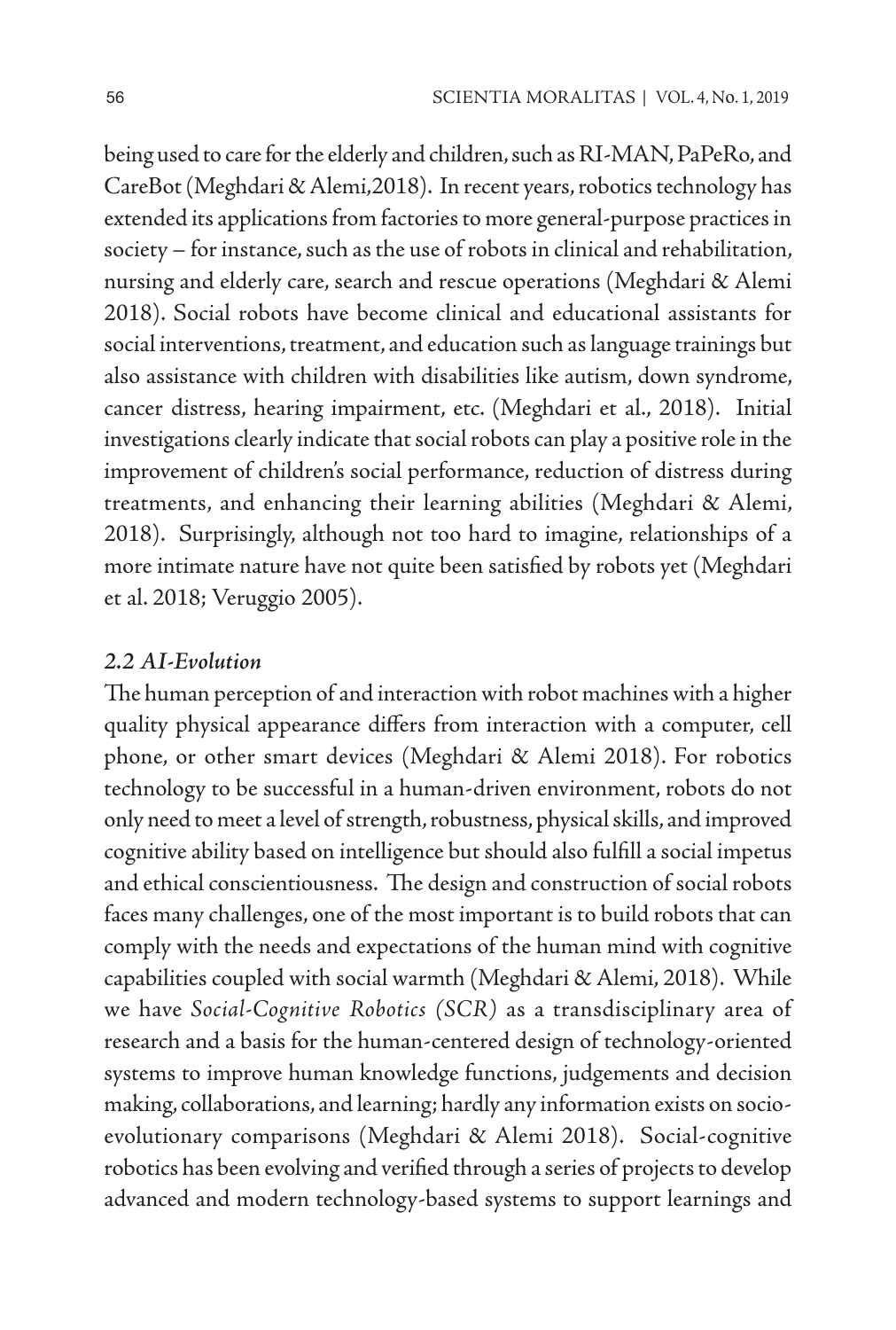being used to care for the elderly and children, such as RI-MAN, PaPeRo, and CareBot (Meghdari & Alemi,2018). In recent years, robotics technology has extended its applications from factories to more general-purpose practices in society – for instance, such as the use of robots in clinical and rehabilitation, nursing and elderly care, search and rescue operations (Meghdari & Alemi 2018). Social robots have become clinical and educational assistants for social interventions, treatment, and education such as language trainings but also assistance with children with disabilities like autism, down syndrome, cancer distress, hearing impairment, etc. (Meghdari et al., 2018). Initial investigations clearly indicate that social robots can play a positive role in the improvement of children's social performance, reduction of distress during treatments, and enhancing their learning abilities (Meghdari & Alemi, 2018). Surprisingly, although not too hard to imagine, relationships of a more intimate nature have not quite been satisfied by robots yet (Meghdari et al. 2018; Veruggio 2005).

### *2.2 AI-Evolution*

The human perception of and interaction with robot machines with a higher quality physical appearance differs from interaction with a computer, cell phone, or other smart devices (Meghdari & Alemi 2018). For robotics technology to be successful in a human-driven environment, robots do not only need to meet a level of strength, robustness, physical skills, and improved cognitive ability based on intelligence but should also fulfill a social impetus and ethical conscientiousness. The design and construction of social robots faces many challenges, one of the most important is to build robots that can comply with the needs and expectations of the human mind with cognitive capabilities coupled with social warmth (Meghdari & Alemi, 2018). While we have *Social-Cognitive Robotics (SCR)* as a transdisciplinary area of research and a basis for the human-centered design of technology-oriented systems to improve human knowledge functions, judgements and decision making, collaborations, and learning; hardly any information exists on socioevolutionary comparisons (Meghdari & Alemi 2018). Social-cognitive robotics has been evolving and verified through a series of projects to develop advanced and modern technology-based systems to support learnings and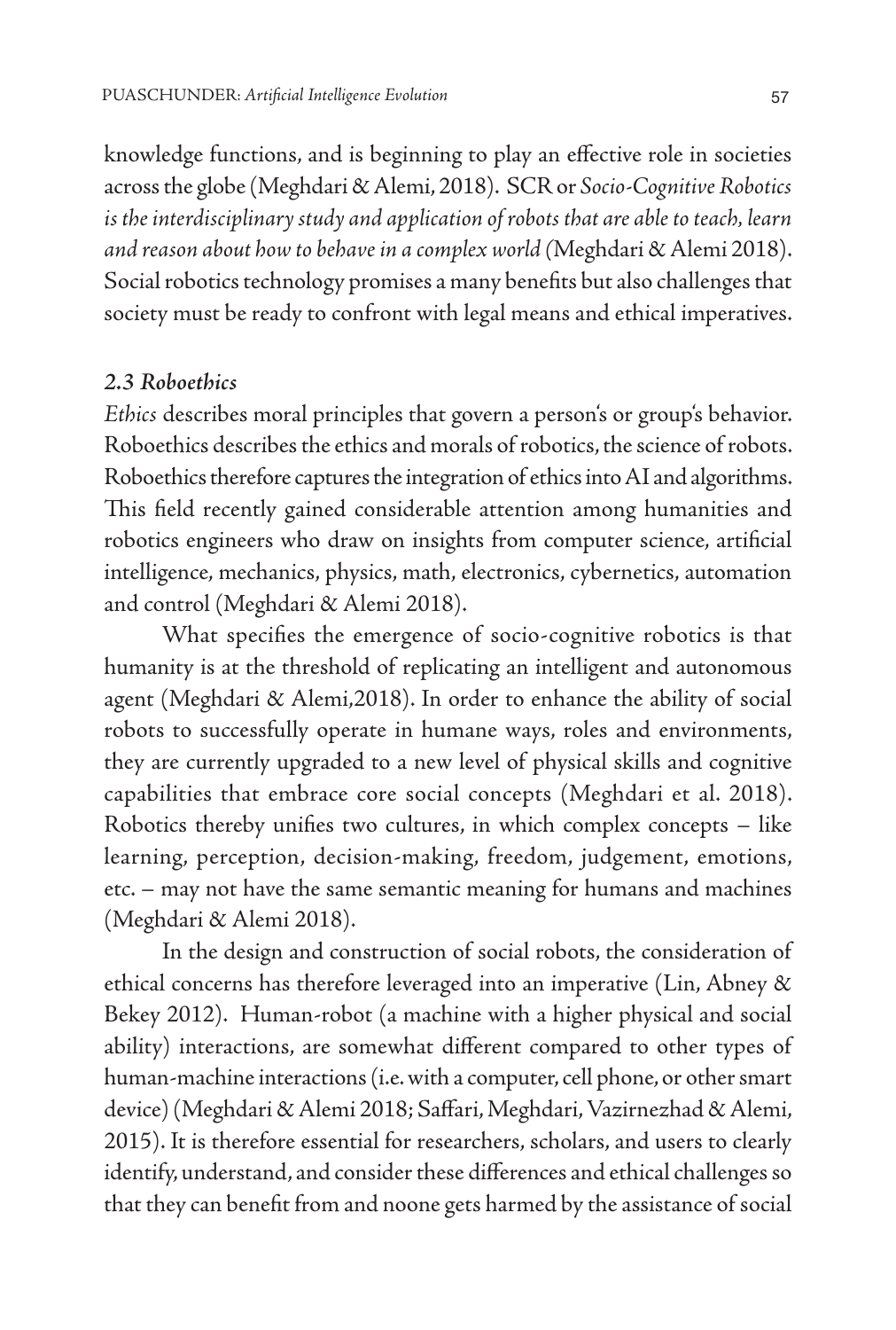knowledge functions, and is beginning to play an effective role in societies across the globe (Meghdari & Alemi, 2018). SCR or *Socio-Cognitive Robotics is the interdisciplinary study and application of robots that are able to teach, learn and reason about how to behave in a complex world (*Meghdari & Alemi 2018). Social robotics technology promises a many benefits but also challenges that society must be ready to confront with legal means and ethical imperatives.

#### *2.3 Roboethics*

*Ethics* describes moral principles that govern a person's or group's behavior. Roboethics describes the ethics and morals of robotics, the science of robots. Roboethics therefore captures the integration of ethics into AI and algorithms. This field recently gained considerable attention among humanities and robotics engineers who draw on insights from computer science, artificial intelligence, mechanics, physics, math, electronics, cybernetics, automation and control (Meghdari & Alemi 2018).

What specifies the emergence of socio-cognitive robotics is that humanity is at the threshold of replicating an intelligent and autonomous agent (Meghdari & Alemi,2018). In order to enhance the ability of social robots to successfully operate in humane ways, roles and environments, they are currently upgraded to a new level of physical skills and cognitive capabilities that embrace core social concepts (Meghdari et al. 2018). Robotics thereby unifies two cultures, in which complex concepts – like learning, perception, decision-making, freedom, judgement, emotions, etc. – may not have the same semantic meaning for humans and machines (Meghdari & Alemi 2018).

In the design and construction of social robots, the consideration of ethical concerns has therefore leveraged into an imperative (Lin, Abney & Bekey 2012). Human-robot (a machine with a higher physical and social ability) interactions, are somewhat different compared to other types of human-machine interactions (i.e. with a computer, cell phone, or other smart device) (Meghdari & Alemi 2018; Saffari, Meghdari, Vazirnezhad & Alemi, 2015). It is therefore essential for researchers, scholars, and users to clearly identify, understand, and consider these differences and ethical challenges so that they can benefit from and noone gets harmed by the assistance of social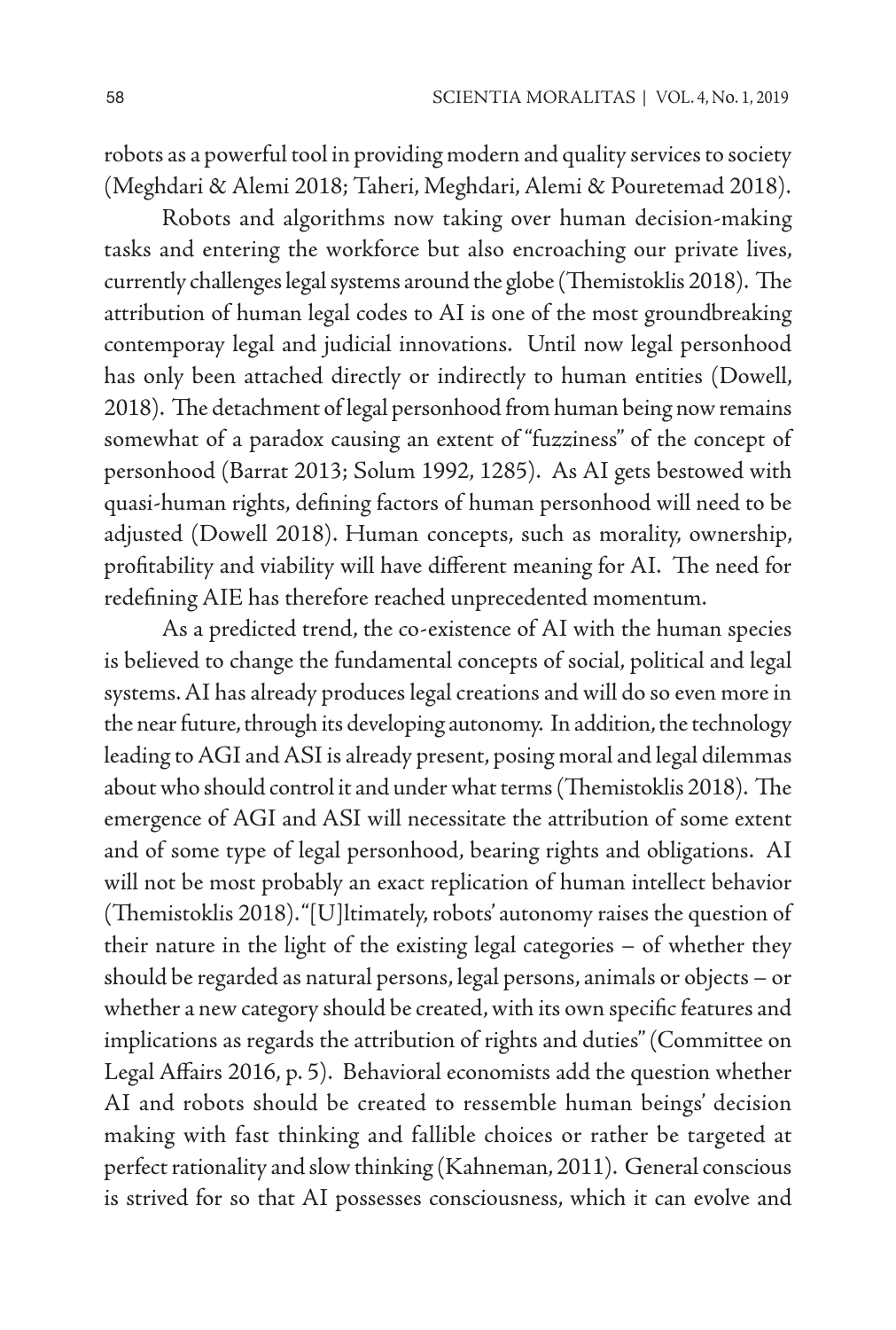robots as a powerful tool in providing modern and quality services to society (Meghdari & Alemi 2018; Taheri, Meghdari, Alemi & Pouretemad 2018).

Robots and algorithms now taking over human decision-making tasks and entering the workforce but also encroaching our private lives, currently challenges legal systems around the globe (Themistoklis 2018). The attribution of human legal codes to AI is one of the most groundbreaking contemporay legal and judicial innovations. Until now legal personhood has only been attached directly or indirectly to human entities (Dowell, 2018). The detachment of legal personhood from human being now remains somewhat of a paradox causing an extent of "fuzziness" of the concept of personhood (Barrat 2013; Solum 1992, 1285). As AI gets bestowed with quasi-human rights, defining factors of human personhood will need to be adjusted (Dowell 2018). Human concepts, such as morality, ownership, profitability and viability will have different meaning for AI. The need for redefining AIE has therefore reached unprecedented momentum.

As a predicted trend, the co-existence of AI with the human species is believed to change the fundamental concepts of social, political and legal systems. AI has already produces legal creations and will do so even more in the near future, through its developing autonomy. In addition, the technology leading to AGI and ASI is already present, posing moral and legal dilemmas about who should control it and under what terms (Themistoklis 2018). The emergence of AGI and ASI will necessitate the attribution of some extent and of some type of legal personhood, bearing rights and obligations. AI will not be most probably an exact replication of human intellect behavior (Themistoklis 2018). "[U]ltimately, robots' autonomy raises the question of their nature in the light of the existing legal categories – of whether they should be regarded as natural persons, legal persons, animals or objects – or whether a new category should be created, with its own specific features and implications as regards the attribution of rights and duties" (Committee on Legal Affairs 2016, p. 5). Behavioral economists add the question whether AI and robots should be created to ressemble human beings' decision making with fast thinking and fallible choices or rather be targeted at perfect rationality and slow thinking (Kahneman, 2011). General conscious is strived for so that AI possesses consciousness, which it can evolve and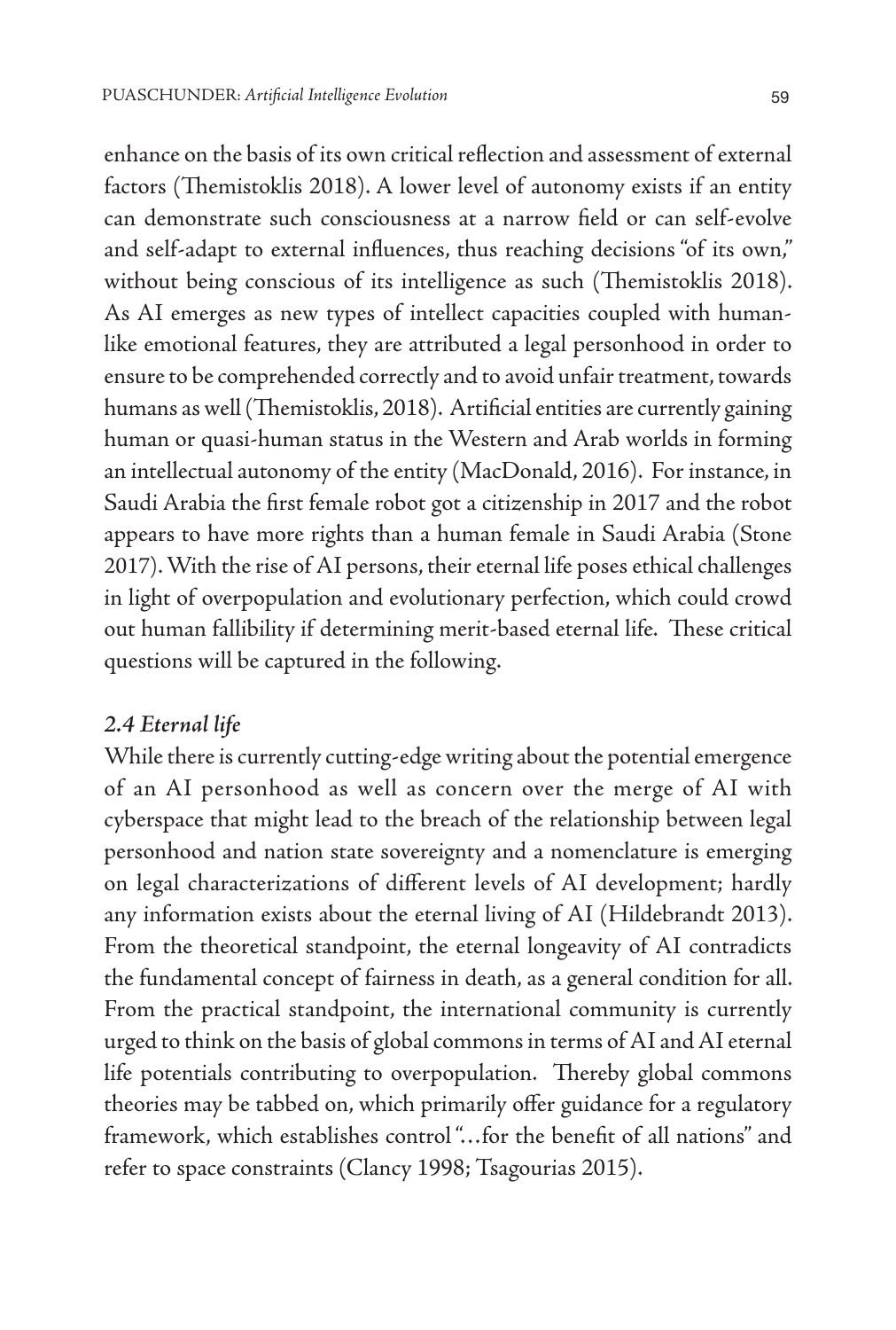enhance on the basis of its own critical reflection and assessment of external factors (Themistoklis 2018). A lower level of autonomy exists if an entity can demonstrate such consciousness at a narrow field or can self-evolve and self-adapt to external influences, thus reaching decisions "of its own," without being conscious of its intelligence as such (Themistoklis 2018). As AI emerges as new types of intellect capacities coupled with humanlike emotional features, they are attributed a legal personhood in order to ensure to be comprehended correctly and to avoid unfair treatment, towards humans as well (Themistoklis, 2018). Artificial entities are currently gaining human or quasi-human status in the Western and Arab worlds in forming an intellectual autonomy of the entity (MacDonald, 2016). For instance, in Saudi Arabia the first female robot got a citizenship in 2017 and the robot appears to have more rights than a human female in Saudi Arabia (Stone 2017). With the rise of AI persons, their eternal life poses ethical challenges in light of overpopulation and evolutionary perfection, which could crowd out human fallibility if determining merit-based eternal life. These critical questions will be captured in the following.

#### *2.4 Eternal life*

While there is currently cutting-edge writing about the potential emergence of an AI personhood as well as concern over the merge of AI with cyberspace that might lead to the breach of the relationship between legal personhood and nation state sovereignty and a nomenclature is emerging on legal characterizations of different levels of AI development; hardly any information exists about the eternal living of AI (Hildebrandt 2013). From the theoretical standpoint, the eternal longeavity of AI contradicts the fundamental concept of fairness in death, as a general condition for all. From the practical standpoint, the international community is currently urged to think on the basis of global commons in terms of AI and AI eternal life potentials contributing to overpopulation. Thereby global commons theories may be tabbed on, which primarily offer guidance for a regulatory framework, which establishes control "…for the benefit of all nations" and refer to space constraints (Clancy 1998; Tsagourias 2015).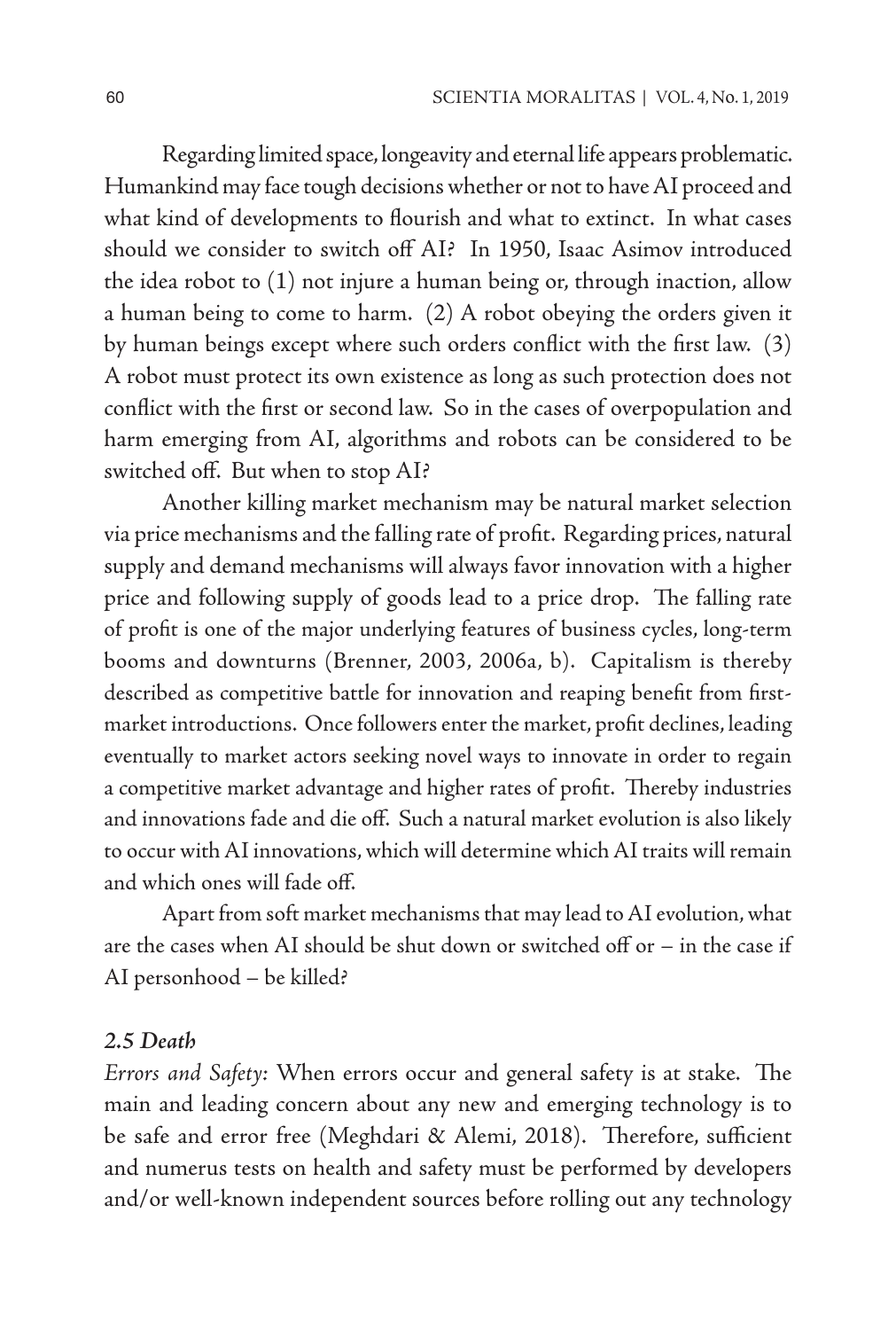Regarding limited space, longeavity and eternal life appears problematic. Humankind may face tough decisions whether or not to have AI proceed and what kind of developments to flourish and what to extinct. In what cases should we consider to switch off AI? In 1950, Isaac Asimov introduced the idea robot to (1) not injure a human being or, through inaction, allow a human being to come to harm. (2) A robot obeying the orders given it by human beings except where such orders conflict with the first law. (3) A robot must protect its own existence as long as such protection does not conflict with the first or second law. So in the cases of overpopulation and harm emerging from AI, algorithms and robots can be considered to be switched off. But when to stop AI?

Another killing market mechanism may be natural market selection via price mechanisms and the falling rate of profit. Regarding prices, natural supply and demand mechanisms will always favor innovation with a higher price and following supply of goods lead to a price drop. The falling rate of profit is one of the major underlying features of business cycles, long-term booms and downturns (Brenner, 2003, 2006a, b). Capitalism is thereby described as competitive battle for innovation and reaping benefit from firstmarket introductions. Once followers enter the market, profit declines, leading eventually to market actors seeking novel ways to innovate in order to regain a competitive market advantage and higher rates of profit. Thereby industries and innovations fade and die off. Such a natural market evolution is also likely to occur with AI innovations, which will determine which AI traits will remain and which ones will fade off.

Apart from soft market mechanisms that may lead to AI evolution, what are the cases when AI should be shut down or switched off or – in the case if AI personhood – be killed?

#### *2.5 Death*

*Errors and Safety:* When errors occur and general safety is at stake. The main and leading concern about any new and emerging technology is to be safe and error free (Meghdari & Alemi, 2018). Therefore, sufficient and numerus tests on health and safety must be performed by developers and/or well-known independent sources before rolling out any technology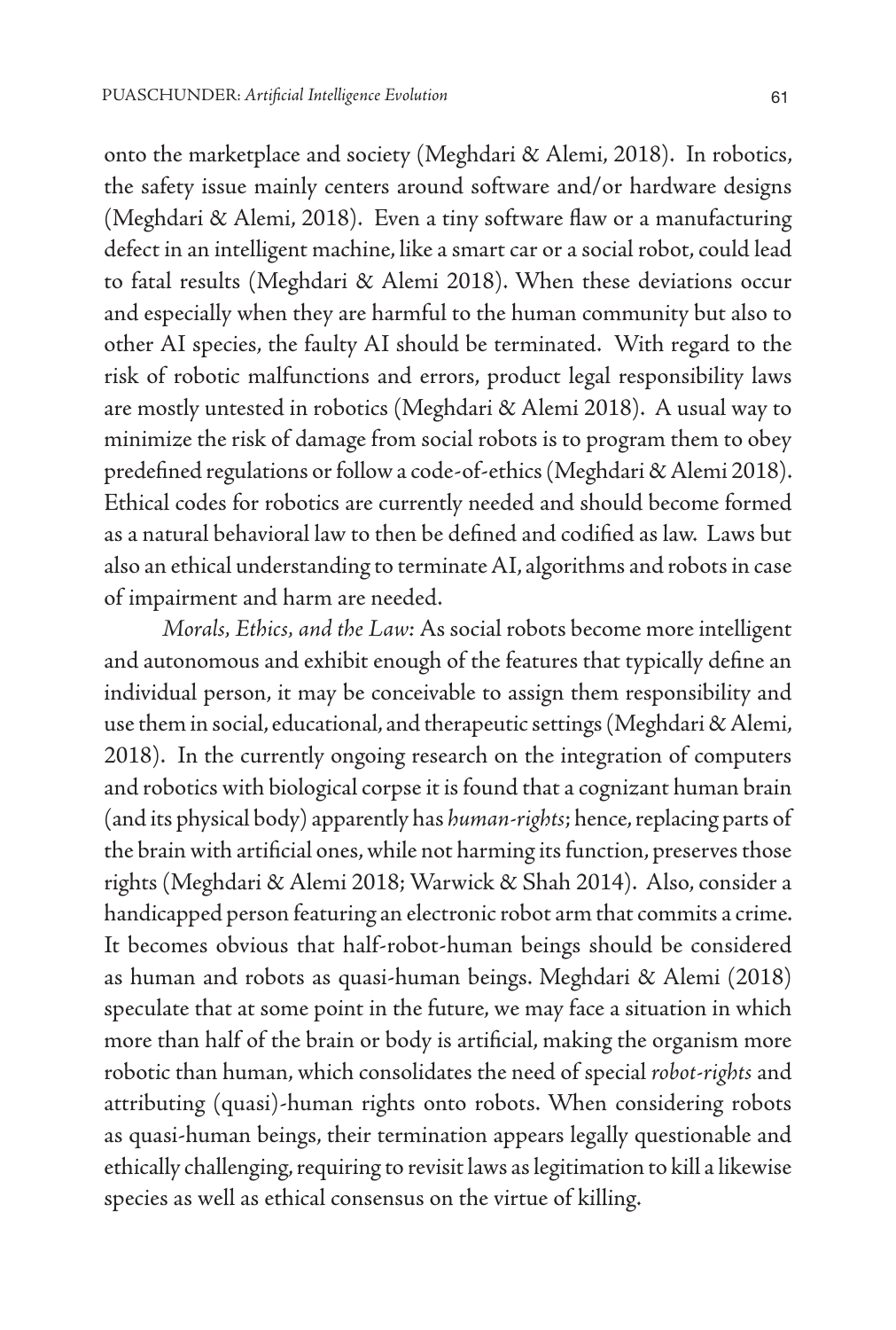onto the marketplace and society (Meghdari & Alemi, 2018). In robotics, the safety issue mainly centers around software and/or hardware designs (Meghdari & Alemi, 2018). Even a tiny software flaw or a manufacturing defect in an intelligent machine, like a smart car or a social robot, could lead to fatal results (Meghdari & Alemi 2018). When these deviations occur and especially when they are harmful to the human community but also to other AI species, the faulty AI should be terminated. With regard to the risk of robotic malfunctions and errors, product legal responsibility laws are mostly untested in robotics (Meghdari & Alemi 2018). A usual way to minimize the risk of damage from social robots is to program them to obey predefined regulations or follow a code-of-ethics (Meghdari & Alemi 2018). Ethical codes for robotics are currently needed and should become formed as a natural behavioral law to then be defined and codified as law. Laws but also an ethical understanding to terminate AI, algorithms and robots in case of impairment and harm are needed.

*Morals, Ethics, and the Law:* As social robots become more intelligent and autonomous and exhibit enough of the features that typically define an individual person, it may be conceivable to assign them responsibility and use them in social, educational, and therapeutic settings (Meghdari & Alemi, 2018). In the currently ongoing research on the integration of computers and robotics with biological corpse it is found that a cognizant human brain (and its physical body) apparently has *human-rights*; hence, replacing parts of the brain with artificial ones, while not harming its function, preserves those rights (Meghdari & Alemi 2018; Warwick & Shah 2014). Also, consider a handicapped person featuring an electronic robot arm that commits a crime. It becomes obvious that half-robot-human beings should be considered as human and robots as quasi-human beings. Meghdari & Alemi (2018) speculate that at some point in the future, we may face a situation in which more than half of the brain or body is artificial, making the organism more robotic than human, which consolidates the need of special *robot-rights* and attributing (quasi)-human rights onto robots. When considering robots as quasi-human beings, their termination appears legally questionable and ethically challenging, requiring to revisit laws as legitimation to kill a likewise species as well as ethical consensus on the virtue of killing.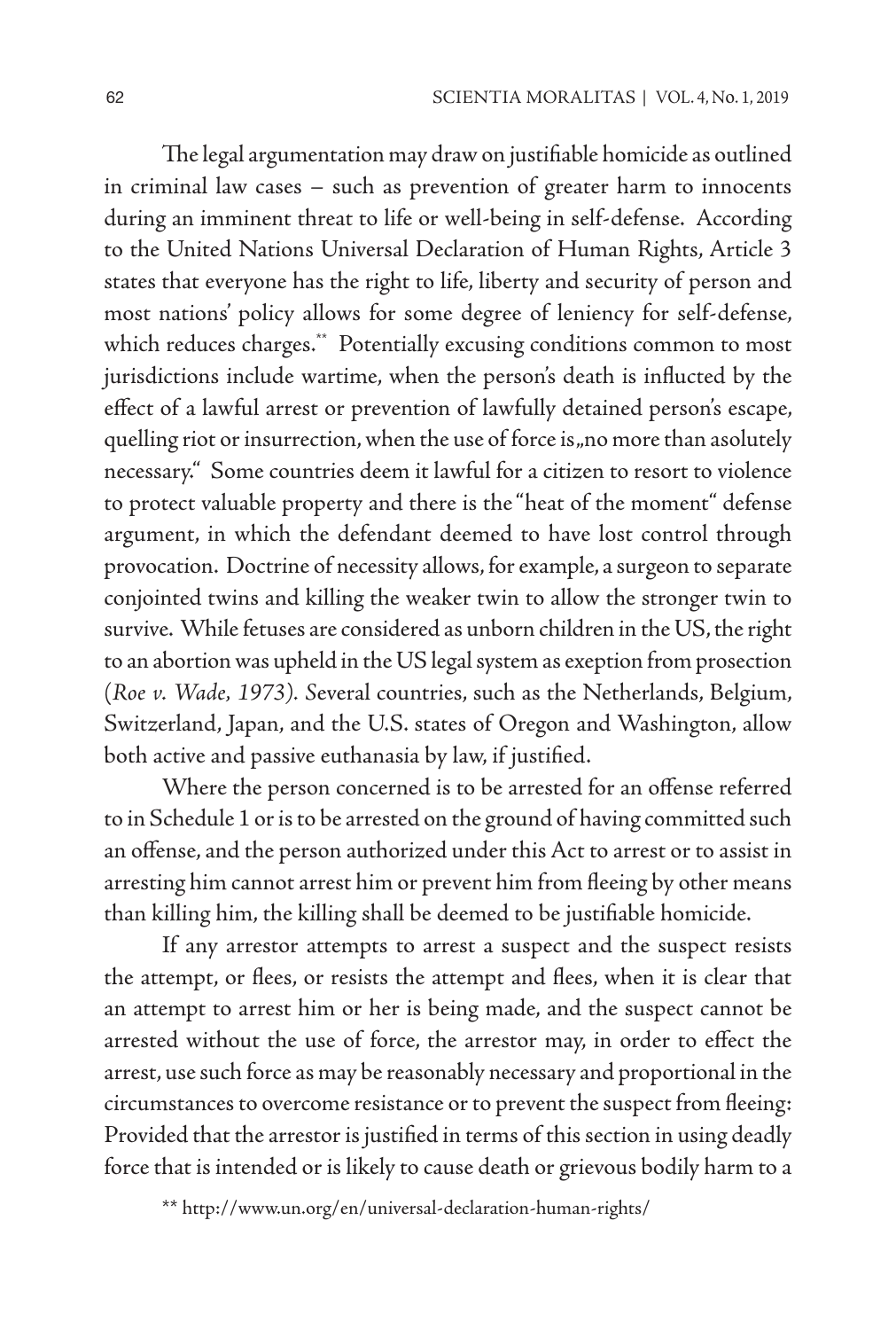The legal argumentation may draw on justifiable homicide as outlined in criminal law cases – such as prevention of greater harm to innocents during an imminent threat to life or well-being in self-defense. According to the United Nations Universal Declaration of Human Rights, Article 3 states that everyone has the right to life, liberty and security of person and most nations' policy allows for some degree of leniency for self-defense, which reduces charges.<sup>\*\*</sup> Potentially excusing conditions common to most jurisdictions include wartime, when the person's death is influcted by the effect of a lawful arrest or prevention of lawfully detained person's escape, quelling riot or insurrection, when the use of force is, no more than asolutely necessary." Some countries deem it lawful for a citizen to resort to violence to protect valuable property and there is the "heat of the moment" defense argument, in which the defendant deemed to have lost control through provocation. Doctrine of necessity allows, for example, a surgeon to separate conjointed twins and killing the weaker twin to allow the stronger twin to survive. While fetuses are considered as unborn children in the US, the right to an abortion was upheld in the US legal system as exeption from prosection (*Roe v. Wade, 1973). S*everal countries, such as the Netherlands, Belgium, Switzerland, Japan, and the U.S. states of Oregon and Washington, allow both active and passive euthanasia by law, if justified.

Where the person concerned is to be arrested for an offense referred to in Schedule 1 or is to be arrested on the ground of having committed such an offense, and the person authorized under this Act to arrest or to assist in arresting him cannot arrest him or prevent him from fleeing by other means than killing him, the killing shall be deemed to be justifiable homicide.

If any arrestor attempts to arrest a suspect and the suspect resists the attempt, or flees, or resists the attempt and flees, when it is clear that an attempt to arrest him or her is being made, and the suspect cannot be arrested without the use of force, the arrestor may, in order to effect the arrest, use such force as may be reasonably necessary and proportional in the circumstances to overcome resistance or to prevent the suspect from fleeing: Provided that the arrestor is justified in terms of this section in using deadly force that is intended or is likely to cause death or grievous bodily harm to a

\*\* http://www.un.org/en/universal-declaration-human-rights/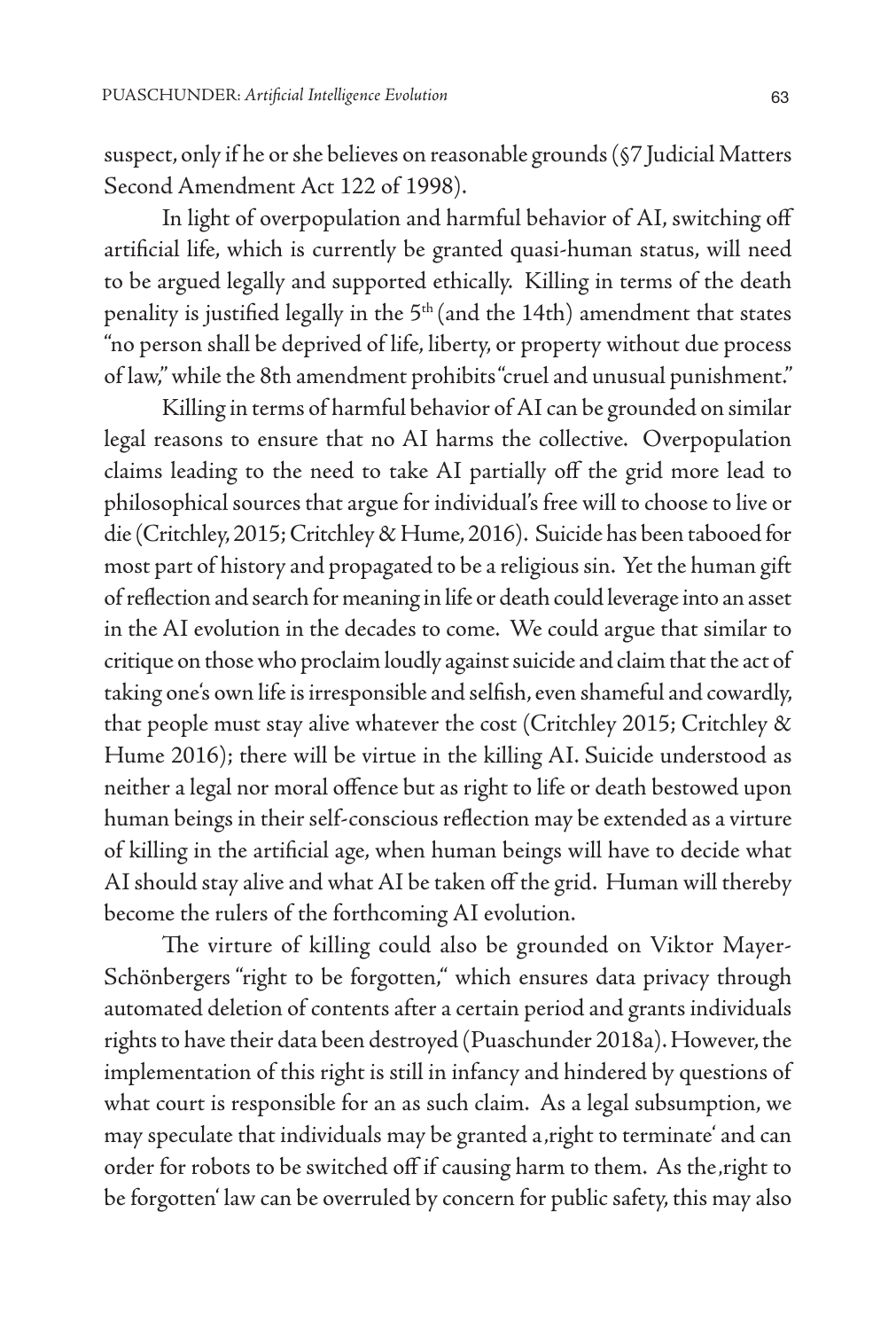suspect, only if he or she believes on reasonable grounds (§7 Judicial Matters Second Amendment Act 122 of 1998).

In light of overpopulation and harmful behavior of AI, switching off artificial life, which is currently be granted quasi-human status, will need to be argued legally and supported ethically. Killing in terms of the death penality is justified legally in the  $5<sup>th</sup>$  (and the 14th) amendment that states "no person shall be deprived of life, liberty, or property without due process of law," while the 8th amendment prohibits "cruel and unusual punishment."

Killing in terms of harmful behavior of AI can be grounded on similar legal reasons to ensure that no AI harms the collective. Overpopulation claims leading to the need to take AI partially off the grid more lead to philosophical sources that argue for individual's free will to choose to live or die (Critchley, 2015; Critchley & Hume, 2016). Suicide has been tabooed for most part of history and propagated to be a religious sin. Yet the human gift of reflection and search for meaning in life or death could leverage into an asset in the AI evolution in the decades to come. We could argue that similar to critique on those who proclaim loudly against suicide and claim that the act of taking one's own life is irresponsible and selfish, even shameful and cowardly, that people must stay alive whatever the cost (Critchley 2015; Critchley & Hume 2016); there will be virtue in the killing AI. Suicide understood as neither a legal nor moral offence but as right to life or death bestowed upon human beings in their self-conscious reflection may be extended as a virture of killing in the artificial age, when human beings will have to decide what AI should stay alive and what AI be taken off the grid. Human will thereby become the rulers of the forthcoming AI evolution.

The virture of killing could also be grounded on Viktor Mayer-Schönbergers "right to be forgotten," which ensures data privacy through automated deletion of contents after a certain period and grants individuals rights to have their data been destroyed (Puaschunder 2018a). However, the implementation of this right is still in infancy and hindered by questions of what court is responsible for an as such claim. As a legal subsumption, we may speculate that individuals may be granted a, right to terminate' and can order for robots to be switched off if causing harm to them. As the, right to be forgotten' law can be overruled by concern for public safety, this may also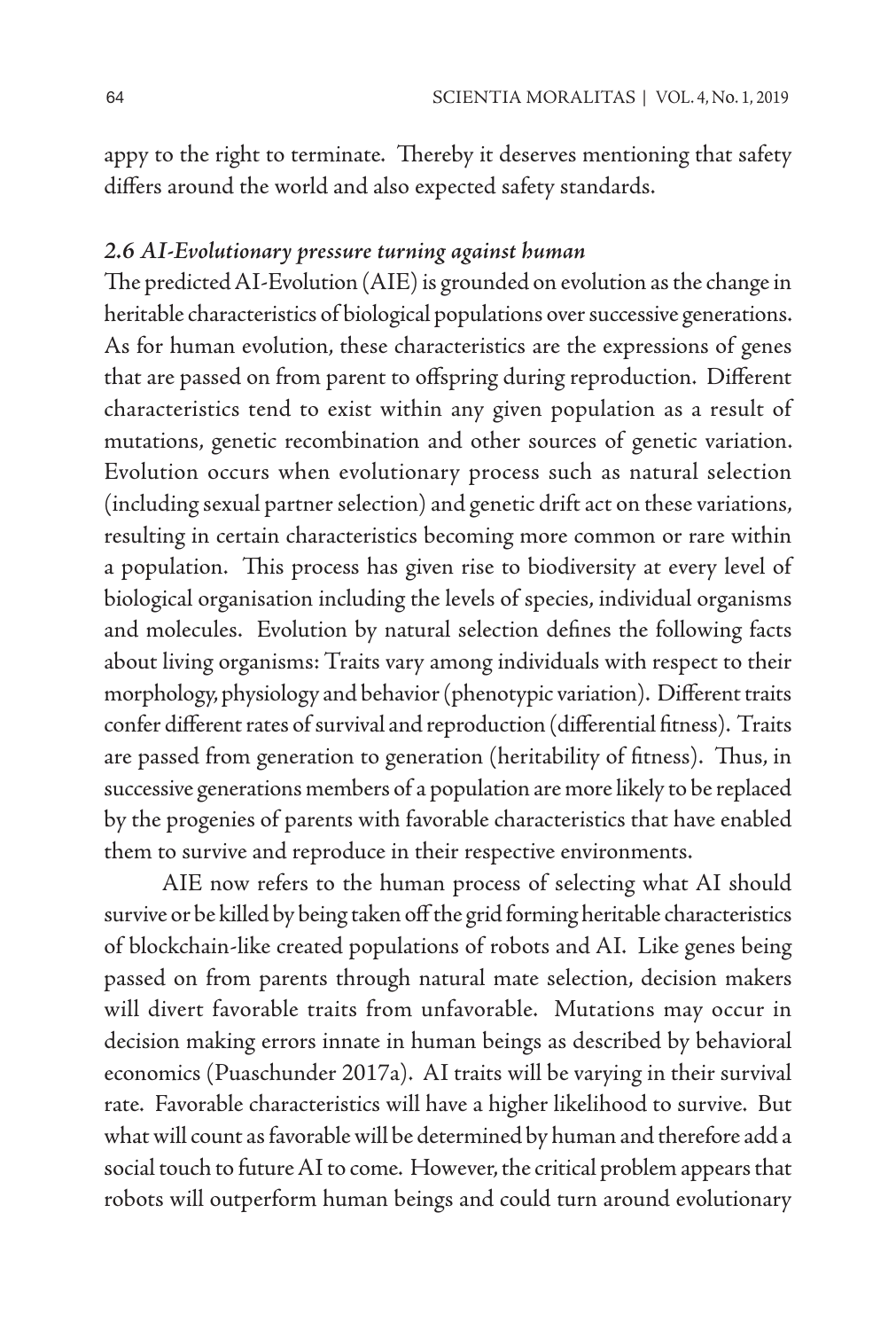appy to the right to terminate. Thereby it deserves mentioning that safety differs around the world and also expected safety standards.

#### *2.6 AI-Evolutionary pressure turning against human*

The predicted AI-Evolution (AIE) is grounded on evolution as the change in heritable characteristics of biological populations over successive generations. As for human evolution, these characteristics are the expressions of genes that are passed on from parent to offspring during reproduction. Different characteristics tend to exist within any given population as a result of mutations, genetic recombination and other sources of genetic variation. Evolution occurs when evolutionary process such as natural selection (including sexual partner selection) and genetic drift act on these variations, resulting in certain characteristics becoming more common or rare within a population. This process has given rise to biodiversity at every level of biological organisation including the levels of species, individual organisms and molecules. Evolution by natural selection defines the following facts about living organisms: Traits vary among individuals with respect to their morphology, physiology and behavior (phenotypic variation). Different traits confer different rates of survival and reproduction (differential fitness). Traits are passed from generation to generation (heritability of fitness). Thus, in successive generations members of a population are more likely to be replaced by the progenies of parents with favorable characteristics that have enabled them to survive and reproduce in their respective environments.

AIE now refers to the human process of selecting what AI should survive or be killed by being taken off the grid forming heritable characteristics of blockchain-like created populations of robots and AI. Like genes being passed on from parents through natural mate selection, decision makers will divert favorable traits from unfavorable. Mutations may occur in decision making errors innate in human beings as described by behavioral economics (Puaschunder 2017a). AI traits will be varying in their survival rate. Favorable characteristics will have a higher likelihood to survive. But what will count as favorable will be determined by human and therefore add a social touch to future AI to come. However, the critical problem appears that robots will outperform human beings and could turn around evolutionary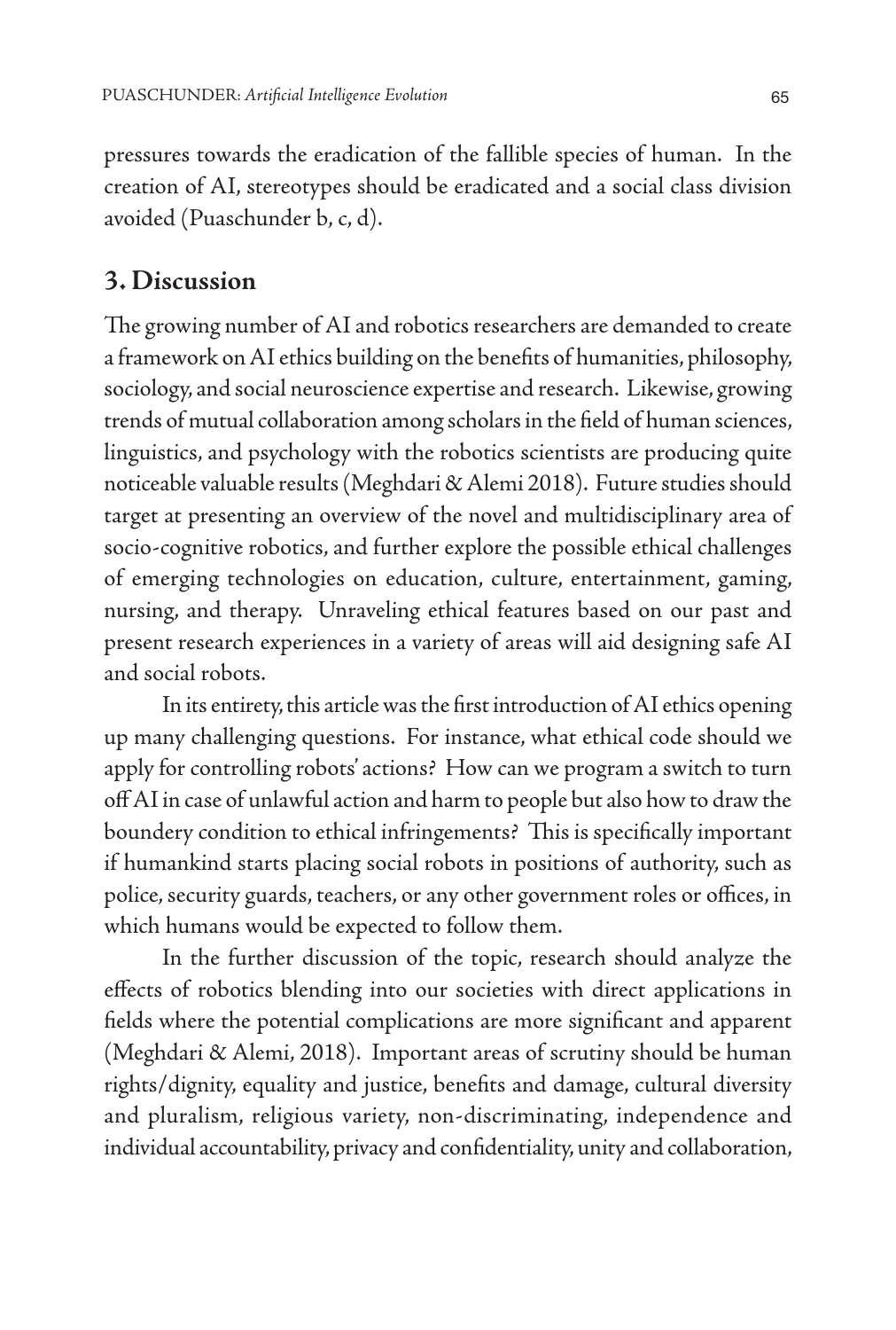pressures towards the eradication of the fallible species of human. In the creation of AI, stereotypes should be eradicated and a social class division avoided (Puaschunder b, c, d).

## **3. Discussion**

The growing number of AI and robotics researchers are demanded to create a framework on AI ethics building on the benefits of humanities, philosophy, sociology, and social neuroscience expertise and research. Likewise, growing trends of mutual collaboration among scholars in the field of human sciences, linguistics, and psychology with the robotics scientists are producing quite noticeable valuable results (Meghdari & Alemi 2018). Future studies should target at presenting an overview of the novel and multidisciplinary area of socio-cognitive robotics, and further explore the possible ethical challenges of emerging technologies on education, culture, entertainment, gaming, nursing, and therapy. Unraveling ethical features based on our past and present research experiences in a variety of areas will aid designing safe AI and social robots.

In its entirety, this article was the first introduction of AI ethics opening up many challenging questions. For instance, what ethical code should we apply for controlling robots' actions? How can we program a switch to turn off AI in case of unlawful action and harm to people but also how to draw the boundery condition to ethical infringements? This is specifically important if humankind starts placing social robots in positions of authority, such as police, security guards, teachers, or any other government roles or offices, in which humans would be expected to follow them.

In the further discussion of the topic, research should analyze the effects of robotics blending into our societies with direct applications in fields where the potential complications are more significant and apparent (Meghdari & Alemi, 2018). Important areas of scrutiny should be human rights/dignity, equality and justice, benefits and damage, cultural diversity and pluralism, religious variety, non-discriminating, independence and individual accountability, privacy and confidentiality, unity and collaboration,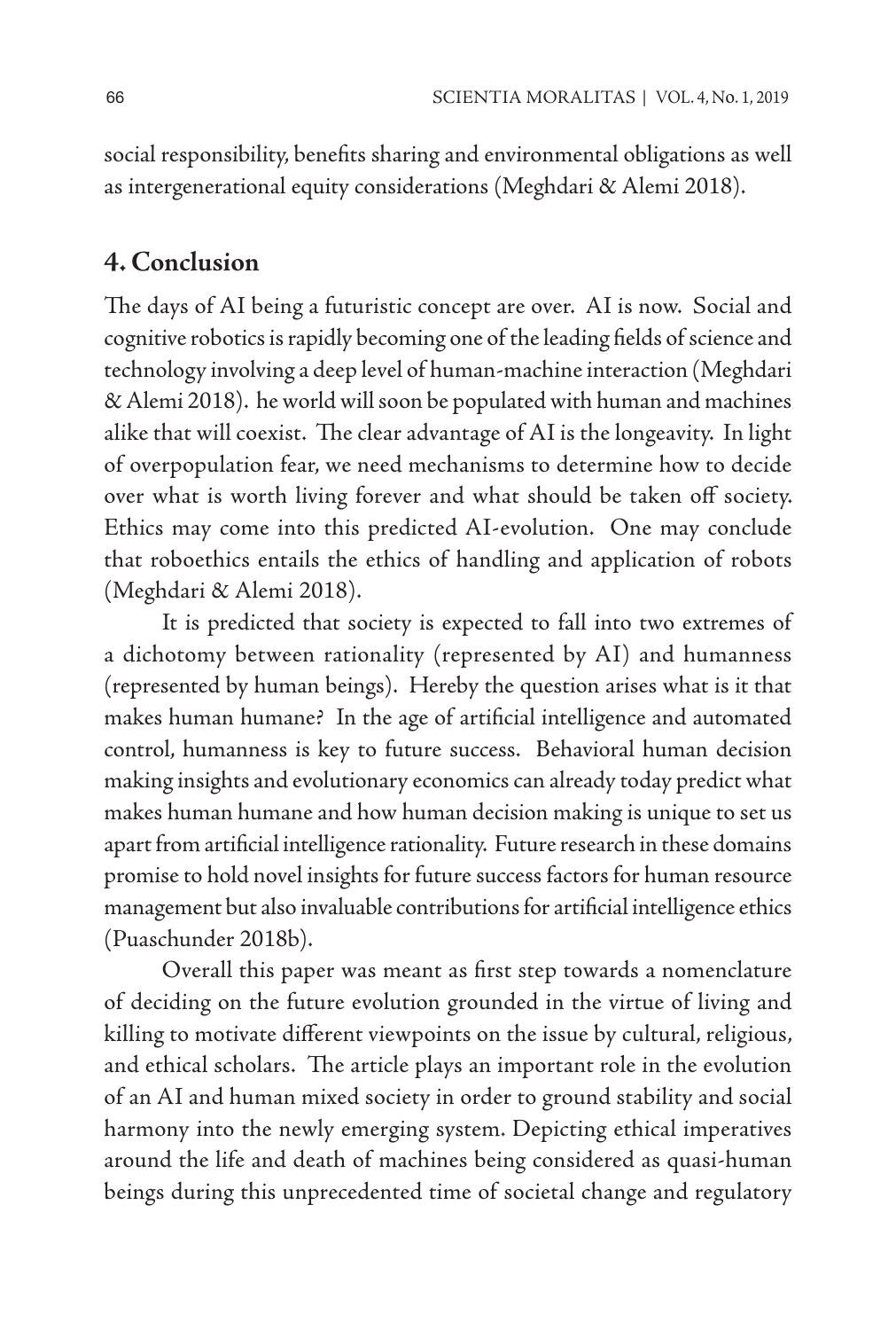social responsibility, benefits sharing and environmental obligations as well as intergenerational equity considerations (Meghdari & Alemi 2018).

# **4. Conclusion**

The days of AI being a futuristic concept are over. AI is now. Social and cognitive robotics is rapidly becoming one of the leading fields of science and technology involving a deep level of human-machine interaction (Meghdari & Alemi 2018). he world will soon be populated with human and machines alike that will coexist. The clear advantage of AI is the longeavity. In light of overpopulation fear, we need mechanisms to determine how to decide over what is worth living forever and what should be taken off society. Ethics may come into this predicted AI-evolution. One may conclude that roboethics entails the ethics of handling and application of robots (Meghdari & Alemi 2018).

It is predicted that society is expected to fall into two extremes of a dichotomy between rationality (represented by AI) and humanness (represented by human beings). Hereby the question arises what is it that makes human humane? In the age of artificial intelligence and automated control, humanness is key to future success. Behavioral human decision making insights and evolutionary economics can already today predict what makes human humane and how human decision making is unique to set us apart from artificial intelligence rationality. Future research in these domains promise to hold novel insights for future success factors for human resource management but also invaluable contributions for artificial intelligence ethics (Puaschunder 2018b).

Overall this paper was meant as first step towards a nomenclature of deciding on the future evolution grounded in the virtue of living and killing to motivate different viewpoints on the issue by cultural, religious, and ethical scholars. The article plays an important role in the evolution of an AI and human mixed society in order to ground stability and social harmony into the newly emerging system. Depicting ethical imperatives around the life and death of machines being considered as quasi-human beings during this unprecedented time of societal change and regulatory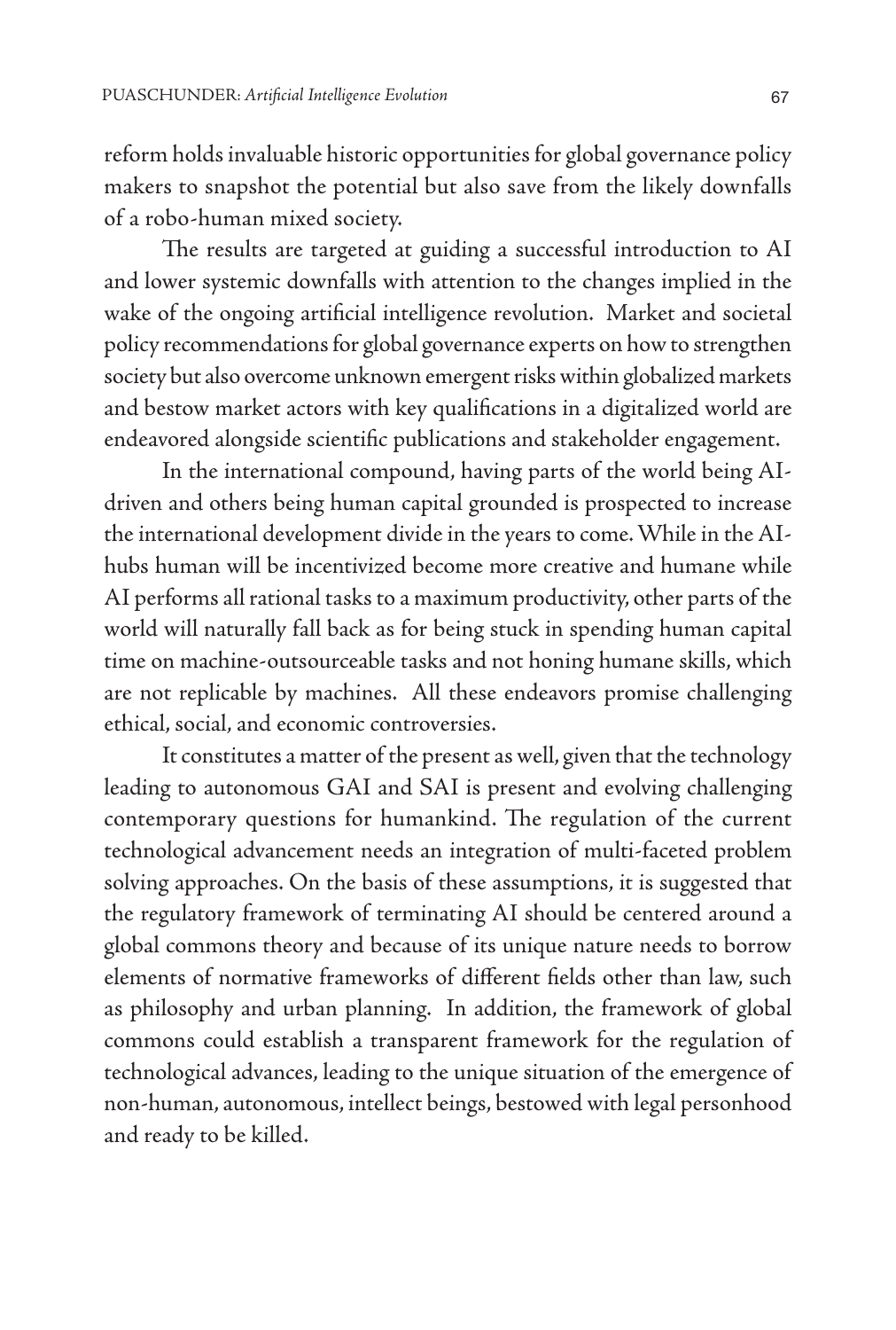reform holds invaluable historic opportunities for global governance policy makers to snapshot the potential but also save from the likely downfalls of a robo-human mixed society.

The results are targeted at guiding a successful introduction to AI and lower systemic downfalls with attention to the changes implied in the wake of the ongoing artificial intelligence revolution. Market and societal policy recommendations for global governance experts on how to strengthen society but also overcome unknown emergent risks within globalized markets and bestow market actors with key qualifications in a digitalized world are endeavored alongside scientific publications and stakeholder engagement.

In the international compound, having parts of the world being AIdriven and others being human capital grounded is prospected to increase the international development divide in the years to come. While in the AIhubs human will be incentivized become more creative and humane while AI performs all rational tasks to a maximum productivity, other parts of the world will naturally fall back as for being stuck in spending human capital time on machine-outsourceable tasks and not honing humane skills, which are not replicable by machines. All these endeavors promise challenging ethical, social, and economic controversies.

It constitutes a matter of the present as well, given that the technology leading to autonomous GAI and SAI is present and evolving challenging contemporary questions for humankind. The regulation of the current technological advancement needs an integration of multi-faceted problem solving approaches. On the basis of these assumptions, it is suggested that the regulatory framework of terminating AI should be centered around a global commons theory and because of its unique nature needs to borrow elements of normative frameworks of different fields other than law, such as philosophy and urban planning.In addition, the framework of global commons could establish a transparent framework for the regulation of technological advances, leading to the unique situation of the emergence of non-human, autonomous, intellect beings, bestowed with legal personhood and ready to be killed.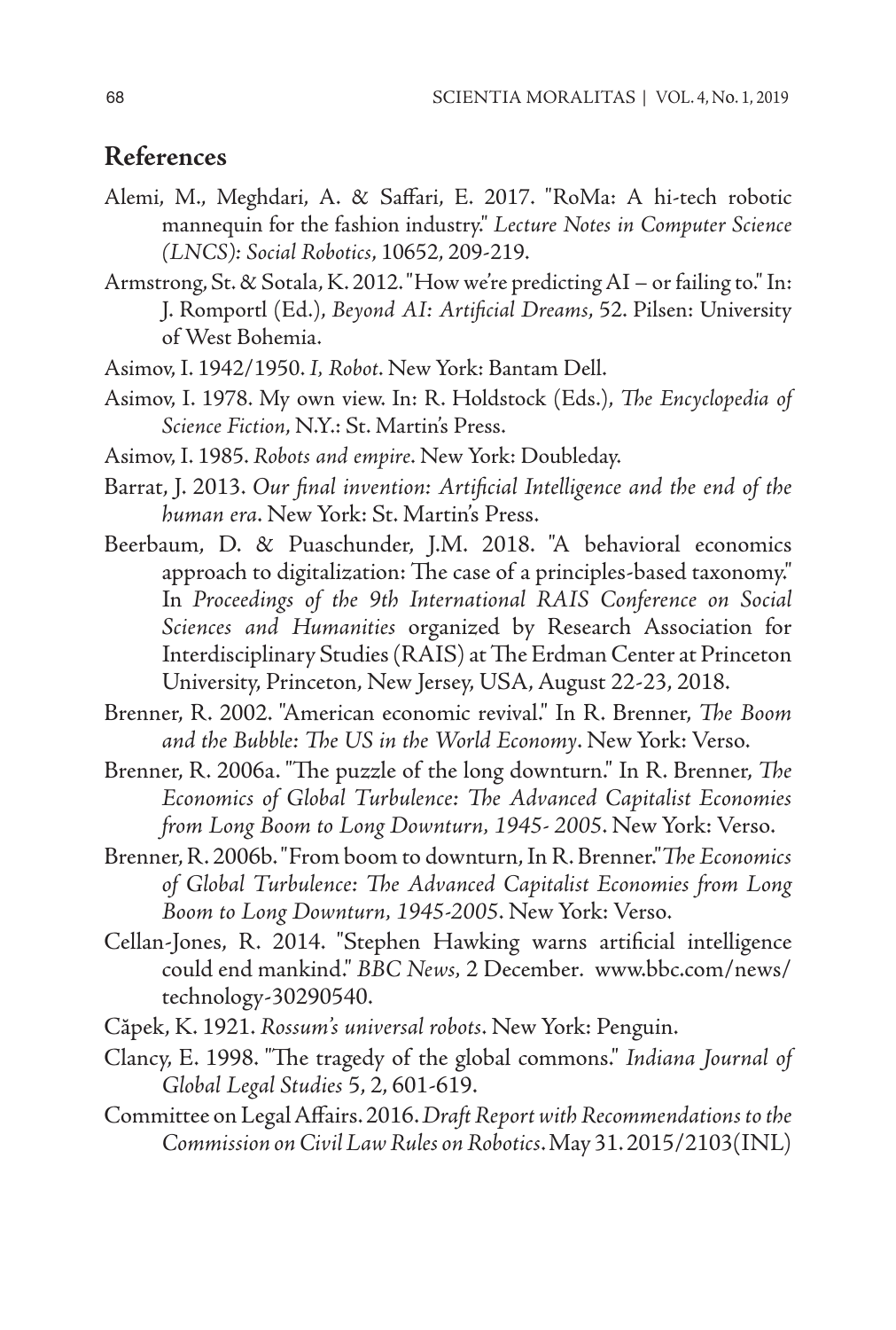## **References**

- Alemi, M., Meghdari, A. & Saffari, E. 2017. "RoMa: A hi-tech robotic mannequin for the fashion industry." *Lecture Notes in Computer Science (LNCS): Social Robotics*, 10652, 209-219.
- Armstrong, St. & Sotala, K. 2012. "How we're predicting AI or failing to." In: J. Romportl (Ed.), *Beyond AI: Artificial Dreams*, 52. Pilsen: University of West Bohemia.
- Asimov, I. 1942/1950. *I, Robot*. New York: Bantam Dell.
- Asimov, I. 1978. My own view. In: R. Holdstock (Eds.), *The Encyclopedia of Science Fiction*, N.Y.: St. Martin's Press.
- Asimov, I. 1985. *Robots and empire*. New York: Doubleday.
- Barrat, J. 2013. *Our final invention: Artificial Intelligence and the end of the human era*. New York: St. Martin's Press.
- Beerbaum, D. & Puaschunder, J.M. 2018. "A behavioral economics approach to digitalization: The case of a principles-based taxonomy." In *Proceedings of the 9th International RAIS Conference on Social Sciences and Humanities* organized by Research Association for Interdisciplinary Studies (RAIS) at The Erdman Center at Princeton University, Princeton, New Jersey, USA, August 22-23, 2018.
- Brenner, R. 2002. "American economic revival." In R. Brenner, *The Boom and the Bubble: The US in the World Economy*. New York: Verso.
- Brenner, R. 2006a. "The puzzle of the long downturn." In R. Brenner, *The Economics of Global Turbulence: The Advanced Capitalist Economies from Long Boom to Long Downturn, 1945- 2005*. New York: Verso.
- Brenner, R. 2006b. "From boom to downturn, In R. Brenner."*The Economics of Global Turbulence: The Advanced Capitalist Economies from Long Boom to Long Downturn, 1945-2005*. New York: Verso.
- Cellan-Jones, R. 2014. "Stephen Hawking warns artificial intelligence could end mankind." *BBC News,* 2 December*.* www.bbc.com/news/ technology-30290540.
- Căpek, K. 1921. *Rossum's universal robots*. New York: Penguin.
- Clancy, E. 1998. "The tragedy of the global commons." *Indiana Journal of Global Legal Studies* 5, 2, 601-619.
- Committee on Legal Affairs. 2016. *Draft Report with Recommendations to the Commission on Civil Law Rules on Robotics*. May 31. 2015/2103(INL)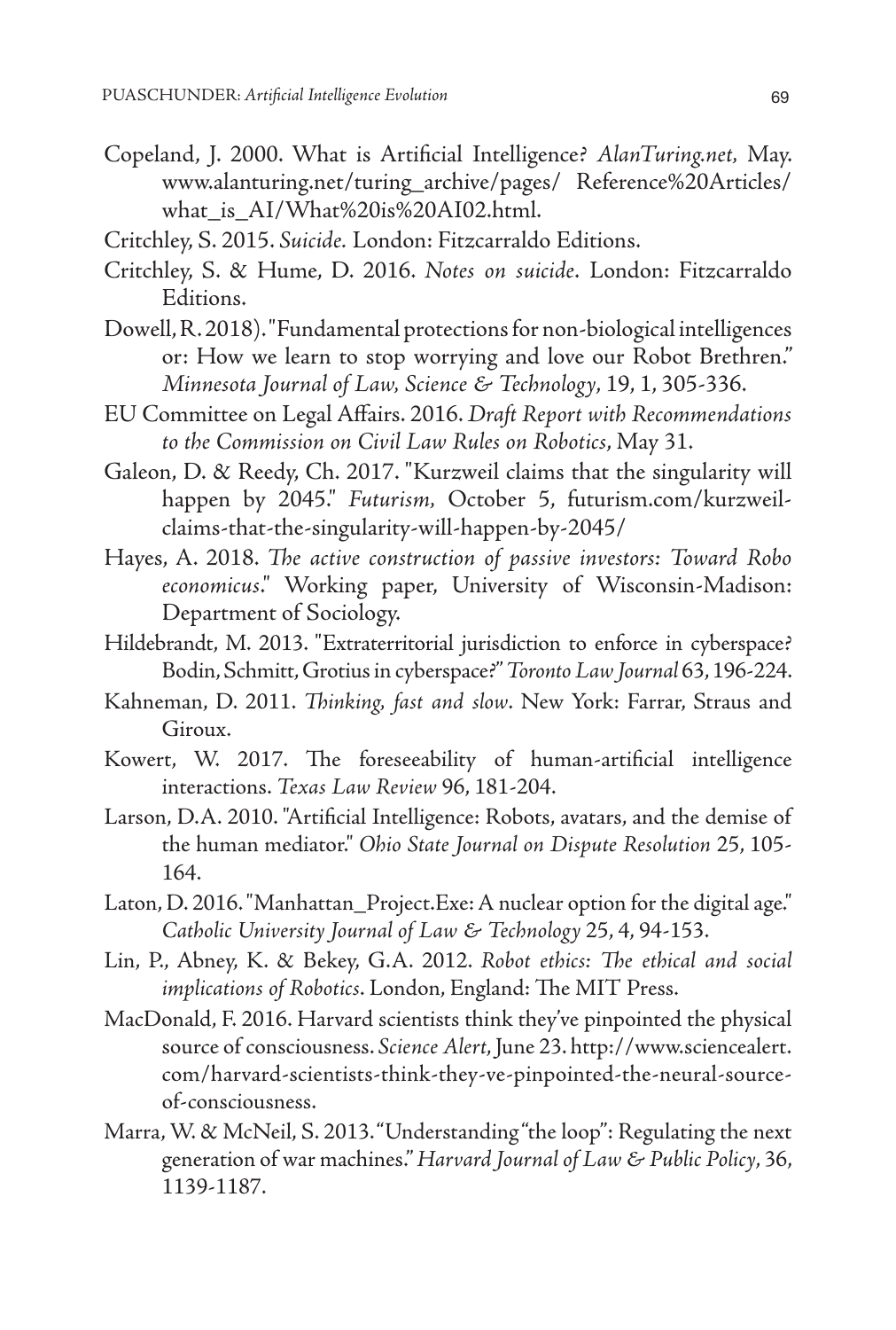- Copeland, J. 2000. What is Artificial Intelligence? *AlanTuring.net,* May. www.alanturing.net/turing\_archive/pages/ Reference%20Articles/ what\_is\_AI/What%20is%20AI02.html.
- Critchley, S. 2015. *Suicide.* London: Fitzcarraldo Editions.
- Critchley, S. & Hume, D. 2016. *Notes on suicide*. London: Fitzcarraldo Editions.
- Dowell, R. 2018). "Fundamental protections for non-biological intelligences or: How we learn to stop worrying and love our Robot Brethren." *Minnesota Journal of Law, Science & Technology*, 19, 1, 305-336.
- EU Committee on Legal Affairs. 2016. *Draft Report with Recommendations to the Commission on Civil Law Rules on Robotics*, May 31.
- Galeon, D. & Reedy, Ch. 2017. "Kurzweil claims that the singularity will happen by 2045." *Futurism,* October 5, futurism.com/kurzweilclaims-that-the-singularity-will-happen-by-2045/
- Hayes, A. 2018. *The active construction of passive investors: Toward Robo economicus*." Working paper, University of Wisconsin-Madison: Department of Sociology.
- Hildebrandt, M. 2013. "Extraterritorial jurisdiction to enforce in cyberspace? Bodin, Schmitt, Grotius in cyberspace?" *Toronto Law Journal* 63, 196-224.
- Kahneman, D. 2011. *Thinking, fast and slow*. New York: Farrar, Straus and Giroux.
- Kowert, W. 2017. The foreseeability of human-artificial intelligence interactions. *Texas Law Review* 96, 181-204.
- Larson, D.A. 2010. "Artificial Intelligence: Robots, avatars, and the demise of the human mediator." *Ohio State Journal on Dispute Resolution* 25, 105- 164.
- Laton, D. 2016. "Manhattan\_Project.Exe: A nuclear option for the digital age." *Catholic University Journal of Law & Technology* 25, 4, 94-153.
- Lin, P., Abney, K. & Bekey, G.A. 2012. *Robot ethics: The ethical and social implications of Robotics*. London, England: The MIT Press.
- MacDonald, F. 2016. Harvard scientists think they've pinpointed the physical source of consciousness. *Science Alert*, June 23. http://www.sciencealert. com/harvard-scientists-think-they-ve-pinpointed-the-neural-sourceof-consciousness.
- Marra, W. & McNeil, S. 2013. "Understanding "the loop": Regulating the next generation of war machines." *Harvard Journal of Law & Public Policy*, 36, 1139-1187.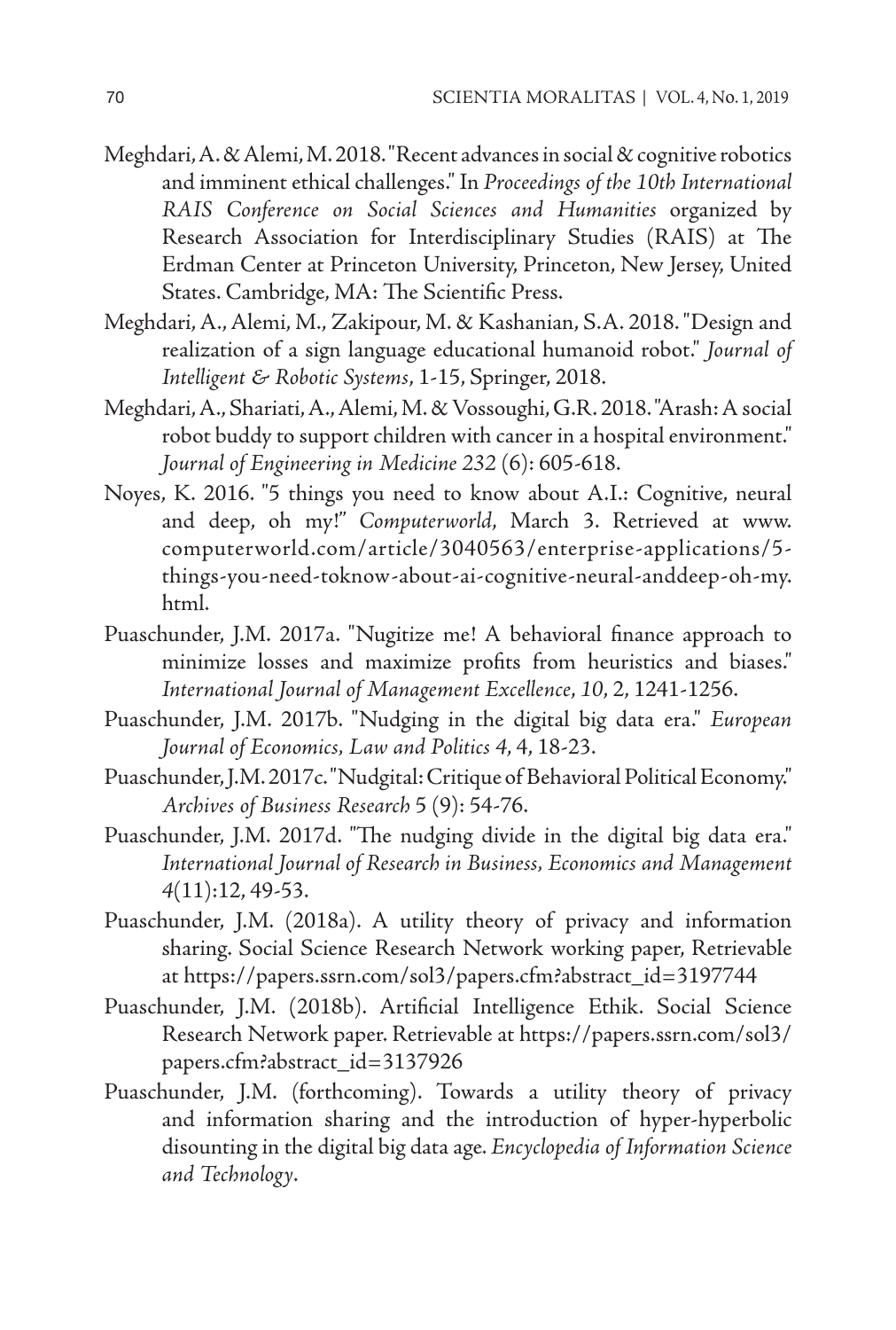- Meghdari, A. & Alemi, M. 2018. "Recent advances in social & cognitive robotics and imminent ethical challenges." In *Proceedings of the 10th International RAIS Conference on Social Sciences and Humanities* organized by Research Association for Interdisciplinary Studies (RAIS) at The Erdman Center at Princeton University, Princeton, New Jersey, United States. Cambridge, MA: The Scientific Press.
- Meghdari, A., Alemi, M., Zakipour, M. & Kashanian, S.A. 2018. "Design and realization of a sign language educational humanoid robot." *Journal of Intelligent & Robotic Systems*, 1-15, Springer, 2018.
- Meghdari, A., Shariati, A., Alemi, M. & Vossoughi, G.R. 2018. "Arash: A social robot buddy to support children with cancer in a hospital environment." *Journal of Engineering in Medicine 232* (6): 605-618.
- Noyes, K. 2016. "5 things you need to know about A.I.: Cognitive, neural and deep, oh my!" *Computerworld*, March 3. Retrieved at www. computerworld.com/article/3040563/enterprise-applications/5 things-you-need-toknow-about-ai-cognitive-neural-anddeep-oh-my. html.
- Puaschunder, J.M. 2017a. "Nugitize me! A behavioral finance approach to minimize losses and maximize profits from heuristics and biases." *International Journal of Management Excellence*, *10*, 2, 1241-1256.
- Puaschunder, J.M. 2017b. "Nudging in the digital big data era." *European Journal of Economics, Law and Politics 4*, 4, 18-23.
- Puaschunder, J.M. 2017c. "Nudgital: Critique of Behavioral Political Economy." *Archives of Business Research* 5 (9): 54-76.
- Puaschunder, J.M. 2017d. "The nudging divide in the digital big data era." *International Journal of Research in Business, Economics and Management 4*(11):12, 49-53.
- Puaschunder, J.M. (2018a). A utility theory of privacy and information sharing. Social Science Research Network working paper, Retrievable at https://papers.ssrn.com/sol3/papers.cfm?abstract\_id=3197744
- Puaschunder, J.M. (2018b). Artificial Intelligence Ethik. Social Science Research Network paper. Retrievable at https://papers.ssrn.com/sol3/ papers.cfm?abstract\_id=3137926
- Puaschunder, J.M. (forthcoming). Towards a utility theory of privacy and information sharing and the introduction of hyper-hyperbolic disounting in the digital big data age. *Encyclopedia of Information Science and Technology*.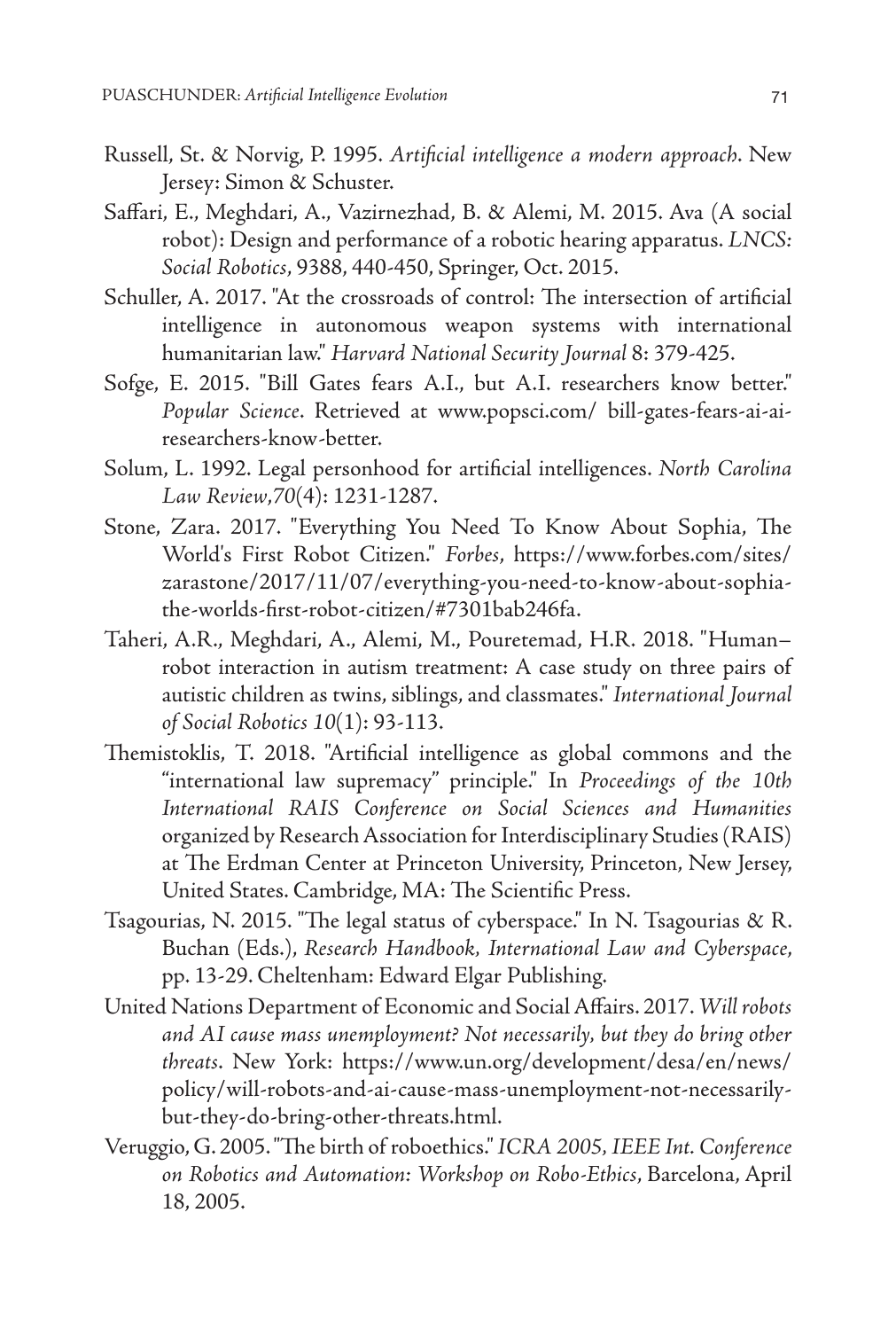- Russell, St. & Norvig, P. 1995. *Artificial intelligence a modern approach*. New Jersey: Simon & Schuster.
- Saffari, E., Meghdari, A., Vazirnezhad, B. & Alemi, M. 2015. Ava (A social robot): Design and performance of a robotic hearing apparatus. *LNCS: Social Robotics*, 9388, 440-450, Springer, Oct. 2015.
- Schuller, A. 2017. "At the crossroads of control: The intersection of artificial intelligence in autonomous weapon systems with international humanitarian law." *Harvard National Security Journal* 8: 379-425.
- Sofge, E. 2015. "Bill Gates fears A.I., but A.I. researchers know better." *Popular Science*. Retrieved at www.popsci.com/ bill-gates-fears-ai-airesearchers-know-better.
- Solum, L. 1992. Legal personhood for artificial intelligences. *North Carolina Law Review*,*70*(4): 1231-1287.
- Stone, Zara. 2017. "Everything You Need To Know About Sophia, The World's First Robot Citizen." *Forbes*, https://www.forbes.com/sites/ zarastone/2017/11/07/everything-you-need-to-know-about-sophiathe-worlds-first-robot-citizen/#7301bab246fa.
- Taheri, A.R., Meghdari, A., Alemi, M., Pouretemad, H.R. 2018. "Human– robot interaction in autism treatment: A case study on three pairs of autistic children as twins, siblings, and classmates." *International Journal of Social Robotics 10*(1): 93-113.
- Themistoklis, T. 2018. "Artificial intelligence as global commons and the "international law supremacy" principle." In *Proceedings of the 10th International RAIS Conference on Social Sciences and Humanities*  organized by Research Association for Interdisciplinary Studies (RAIS) at The Erdman Center at Princeton University, Princeton, New Jersey, United States. Cambridge, MA: The Scientific Press.
- Tsagourias, N. 2015. "The legal status of cyberspace." In N. Tsagourias & R. Buchan (Eds.), *Research Handbook, International Law and Cyberspace*, pp. 13-29. Cheltenham: Edward Elgar Publishing.
- United Nations Department of Economic and Social Affairs. 2017. *Will robots and AI cause mass unemployment? Not necessarily, but they do bring other threats*. New York: https://www.un.org/development/desa/en/news/ policy/will-robots-and-ai-cause-mass-unemployment-not-necessarilybut-they-do-bring-other-threats.html.
- Veruggio, G. 2005. "The birth of roboethics." *ICRA 2005, IEEE Int. Conference on Robotics and Automation: Workshop on Robo-Ethics*, Barcelona, April 18, 2005.